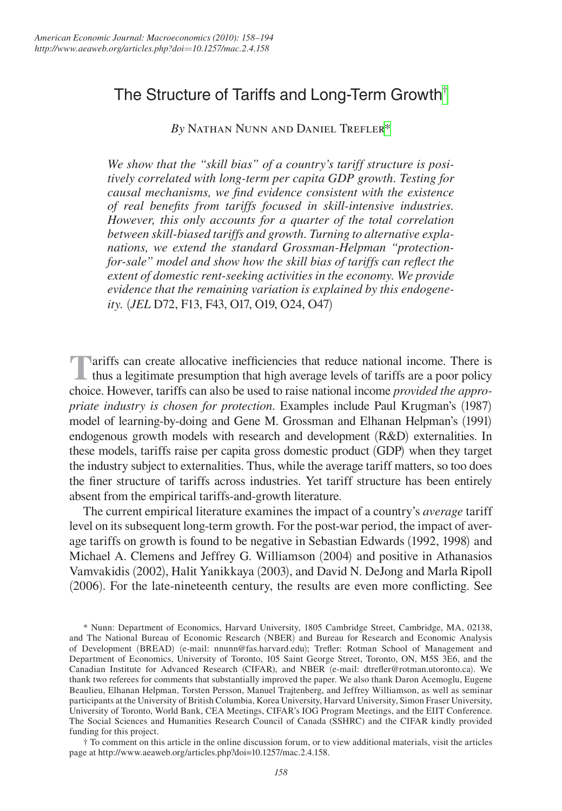# The Structure of Tariffs and Long-Term Growth[†](#page-0-0)

*By* Nathan Nunn and Daniel Trefler[\\*](#page-0-1)

*We show that the "skill bias" of a country's tariff structure is positively correlated with long-term per capita GDP growth. Testing for causal mechanisms, we find evidence consistent with the existence of real benefits from tariffs focused in skill-intensive industries. However, this only accounts for a quarter of the total correlation between skill-biased tariffs and growth. Turning to alternative explanations, we extend the standard Grossman-Helpman "protectionfor-sale" model and show how the skill bias of tariffs can reflect the extent of domestic rent-seeking activities in the economy. We provide evidence that the remaining variation is explained by this endogeneity.* (*JEL* D72, F13, F43, O17, O19, O24, O47)

**T**ariffs can create allocative inefficiencies that reduce national income. There is thus a legitimate presumption that high average levels of tariffs are a poor policy choice. However, tariffs can also be used to raise national income *provided the appropriate industry is chosen for protection*. Examples include Paul Krugman's (1987) model of learning-by-doing and Gene M. Grossman and Elhanan Helpman's (1991) endogenous growth models with research and development (R&D) externalities. In these models, tariffs raise per capita gross domestic product (GDP) when they target the industry subject to externalities. Thus, while the average tariff matters, so too does the finer structure of tariffs across industries. Yet tariff structure has been entirely absent from the empirical tariffs-and-growth literature.

The current empirical literature examines the impact of a country's *average* tariff level on its subsequent long-term growth. For the post-war period, the impact of average tariffs on growth is found to be negative in Sebastian Edwards (1992, 1998) and Michael A. Clemens and Jeffrey G. Williamson (2004) and positive in Athanasios Vamvakidis (2002), Halit Yanikkaya (2003), and David N. DeJong and Marla Ripoll (2006). For the late-nineteenth century, the results are even more conflicting. See

<span id="page-0-1"></span>\* Nunn: Department of Economics, Harvard University, 1805 Cambridge Street, Cambridge, MA, 02138, and The National Bureau of Economic Research (NBER) and Bureau for Research and Economic Analysis of Development (BREAD) (e-mail: nnunn@fas.harvard.edu); Trefler: Rotman School of Management and Department of Economics, University of Toronto, 105 Saint George Street, Toronto, ON, M5S 3E6, and the Canadian Institute for Advanced Research (CIFAR), and NBER (e-mail: dtrefler@rotman.utoronto.ca). We thank two referees for comments that substantially improved the paper. We also thank Daron Acemoglu, Eugene Beaulieu, Elhanan Helpman, Torsten Persson, Manuel Trajtenberg, and Jeffrey Williamson, as well as seminar participants at the University of British Columbia, Korea University, Harvard University, Simon Fraser University, University of Toronto, World Bank, CEA Meetings, CIFAR's IOG Program Meetings, and the EIIT Conference. The Social Sciences and Humanities Research Council of Canada (SSHRC) and the CIFAR kindly provided funding for this project.

<span id="page-0-0"></span>† To comment on this article in the online discussion forum, or to view additional materials, visit the articles page at http://www.aeaweb.org/articles.php?doi=10.1257/mac.2.4.158.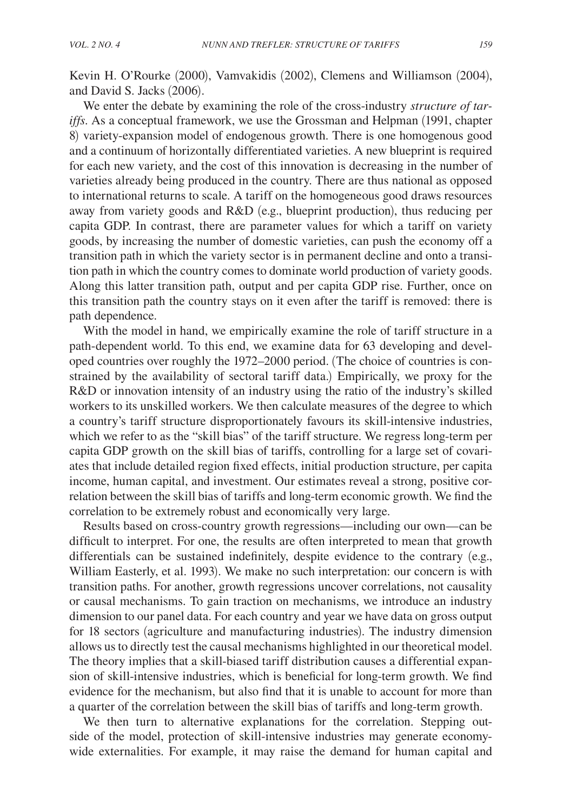Kevin H. O'Rourke (2000), Vamvakidis (2002), Clemens and Williamson (2004), and David S. Jacks (2006).

We enter the debate by examining the role of the cross-industry *structure of tariffs*. As a conceptual framework, we use the Grossman and Helpman (1991, chapter 8) variety-expansion model of endogenous growth. There is one homogenous good and a continuum of horizontally differentiated varieties. A new blueprint is required for each new variety, and the cost of this innovation is decreasing in the number of varieties already being produced in the country. There are thus national as opposed to international returns to scale. A tariff on the homogeneous good draws resources away from variety goods and R&D (e.g., blueprint production), thus reducing per capita GDP. In contrast, there are parameter values for which a tariff on variety goods, by increasing the number of domestic varieties, can push the economy off a transition path in which the variety sector is in permanent decline and onto a transition path in which the country comes to dominate world production of variety goods. Along this latter transition path, output and per capita GDP rise. Further, once on this transition path the country stays on it even after the tariff is removed: there is path dependence.

With the model in hand, we empirically examine the role of tariff structure in a path-dependent world. To this end, we examine data for 63 developing and developed countries over roughly the 1972–2000 period. (The choice of countries is constrained by the availability of sectoral tariff data.) Empirically, we proxy for the R&D or innovation intensity of an industry using the ratio of the industry's skilled workers to its unskilled workers. We then calculate measures of the degree to which a country's tariff structure disproportionately favours its skill-intensive industries, which we refer to as the "skill bias" of the tariff structure. We regress long-term per capita GDP growth on the skill bias of tariffs, controlling for a large set of covariates that include detailed region fixed effects, initial production structure, per capita income, human capital, and investment. Our estimates reveal a strong, positive correlation between the skill bias of tariffs and long-term economic growth. We find the correlation to be extremely robust and economically very large.

Results based on cross-country growth regressions—including our own—can be difficult to interpret. For one, the results are often interpreted to mean that growth differentials can be sustained indefinitely, despite evidence to the contrary (e.g., William Easterly, et al. 1993). We make no such interpretation: our concern is with transition paths. For another, growth regressions uncover correlations, not causality or causal mechanisms. To gain traction on mechanisms, we introduce an industry dimension to our panel data. For each country and year we have data on gross output for 18 sectors (agriculture and manufacturing industries). The industry dimension allows us to directly test the causal mechanisms highlighted in our theoretical model. The theory implies that a skill-biased tariff distribution causes a differential expansion of skill-intensive industries, which is beneficial for long-term growth. We find evidence for the mechanism, but also find that it is unable to account for more than a quarter of the correlation between the skill bias of tariffs and long-term growth.

We then turn to alternative explanations for the correlation. Stepping outside of the model, protection of skill-intensive industries may generate economywide externalities. For example, it may raise the demand for human capital and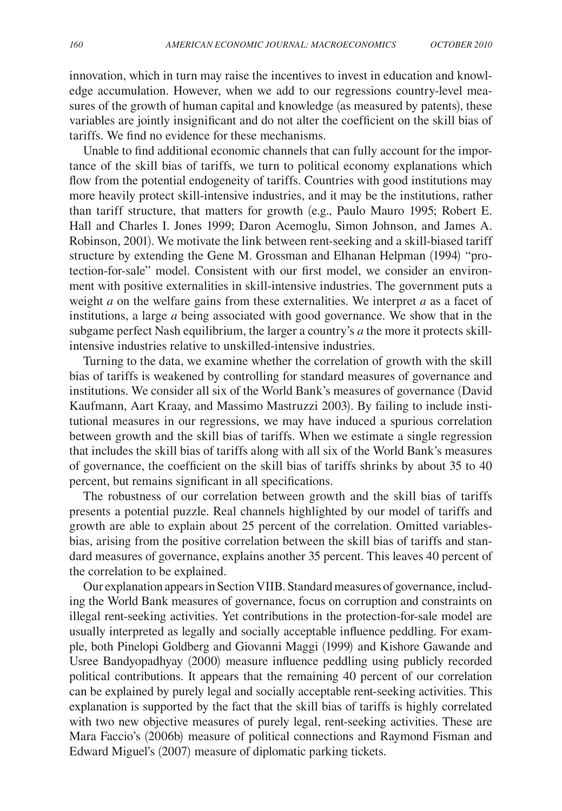innovation, which in turn may raise the incentives to invest in education and knowledge accumulation. However, when we add to our regressions country-level measures of the growth of human capital and knowledge (as measured by patents), these variables are jointly insignificant and do not alter the coefficient on the skill bias of tariffs. We find no evidence for these mechanisms.

Unable to find additional economic channels that can fully account for the importance of the skill bias of tariffs, we turn to political economy explanations which flow from the potential endogeneity of tariffs. Countries with good institutions may more heavily protect skill-intensive industries, and it may be the institutions, rather than tariff structure, that matters for growth (e.g., Paulo Mauro 1995; Robert E. Hall and Charles I. Jones 1999; Daron Acemoglu, Simon Johnson, and James A. Robinson, 2001). We motivate the link between rent-seeking and a skill-biased tariff structure by extending the Gene M. Grossman and Elhanan Helpman (1994) "protection-for-sale" model. Consistent with our first model, we consider an environment with positive externalities in skill-intensive industries. The government puts a weight *a* on the welfare gains from these externalities. We interpret *a* as a facet of institutions, a large *a* being associated with good governance. We show that in the subgame perfect Nash equilibrium, the larger a country's *a* the more it protects skillintensive industries relative to unskilled-intensive industries.

Turning to the data, we examine whether the correlation of growth with the skill bias of tariffs is weakened by controlling for standard measures of governance and institutions. We consider all six of the World Bank's measures of governance (David Kaufmann, Aart Kraay, and Massimo Mastruzzi 2003). By failing to include institutional measures in our regressions, we may have induced a spurious correlation between growth and the skill bias of tariffs. When we estimate a single regression that includes the skill bias of tariffs along with all six of the World Bank's measures of governance, the coefficient on the skill bias of tariffs shrinks by about 35 to 40 percent, but remains significant in all specifications.

The robustness of our correlation between growth and the skill bias of tariffs presents a potential puzzle. Real channels highlighted by our model of tariffs and growth are able to explain about 25 percent of the correlation. Omitted variablesbias, arising from the positive correlation between the skill bias of tariffs and standard measures of governance, explains another 35 percent. This leaves 40 percent of the correlation to be explained.

Our explanation appears in Section VIIB. Standard measures of governance, including the World Bank measures of governance, focus on corruption and constraints on illegal rent-seeking activities. Yet contributions in the protection-for-sale model are usually interpreted as legally and socially acceptable influence peddling. For example, both Pinelopi Goldberg and Giovanni Maggi (1999) and Kishore Gawande and Usree Bandyopadhyay (2000) measure influence peddling using publicly recorded political contributions. It appears that the remaining 40 percent of our correlation can be explained by purely legal and socially acceptable rent-seeking activities. This explanation is supported by the fact that the skill bias of tariffs is highly correlated with two new objective measures of purely legal, rent-seeking activities. These are Mara Faccio's (2006b) measure of political connections and Raymond Fisman and Edward Miguel's (2007) measure of diplomatic parking tickets.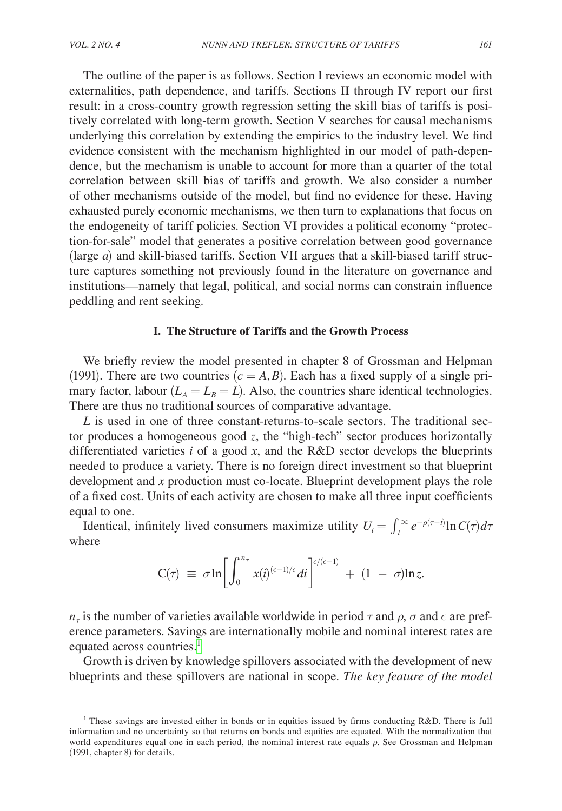<span id="page-3-0"></span>The outline of the paper is as follows. Section I reviews an economic model with externalities, path dependence, and tariffs. Sections II through IV report our first result: in a cross-country growth regression setting the skill bias of tariffs is positively correlated with long-term growth. Section V searches for causal mechanisms underlying this correlation by extending the empirics to the industry level. We find evidence consistent with the mechanism highlighted in our model of path-dependence, but the mechanism is unable to account for more than a quarter of the total correlation between skill bias of tariffs and growth. We also consider a number of other mechanisms outside of the model, but find no evidence for these. Having exhausted purely economic mechanisms, we then turn to explanations that focus on the endogeneity of tariff policies. Section VI provides a political economy "protection-for-sale" model that generates a positive correlation between good governance (large *a*) and skill-biased tariffs. Section VII argues that a skill-biased tariff structure captures something not previously found in the literature on governance and institutions—namely that legal, political, and social norms can constrain influence peddling and rent seeking.

#### **I. The Structure of Tariffs and the Growth Process**

We briefly review the model presented in chapter 8 of Grossman and Helpman (1991). There are two countries  $(c = A, B)$ . Each has a fixed supply of a single primary factor, labour  $(L_A = L_B = L)$ . Also, the countries share identical technologies. There are thus no traditional sources of comparative advantage.

*L* is used in one of three constant-returns-to-scale sectors. The traditional sector produces a homogeneous good *z*, the "high-tech" sector produces horizontally differentiated varieties *i* of a good *x*, and the R&D sector develops the blueprints needed to produce a variety. There is no foreign direct investment so that blueprint development and *x* production must co-locate. Blueprint development plays the role of a fixed cost. Units of each activity are chosen to make all three input coefficients equal to one.

Identical, infinitely lived consumers maximize utility  $U_t = \int_t^\infty e^{-\rho(\tau - t)} \ln C(\tau) d\tau$ where

$$
C(\tau) \ \equiv \ \sigma \ln \left[ \int_0^{n_\tau} x(i)^{(\epsilon - 1)/\epsilon} di \right]^{\epsilon/(\epsilon - 1)} + \ (1 - \sigma) \ln z.
$$

*n*<sub>τ</sub> is the number of varieties available worldwide in period  $\tau$  and  $\rho$ ,  $\sigma$  and  $\epsilon$  are preference parameters. Savings are internationally mobile and nominal interest rates are equated across countries.<sup>1</sup>

Growth is driven by knowledge spillovers associated with the development of new blueprints and these spillovers are national in scope. *The key feature of the model*

<span id="page-3-1"></span><sup>&</sup>lt;sup>1</sup> These savings are invested either in bonds or in equities issued by firms conducting R&D. There is full information and no uncertainty so that returns on bonds and equities are equated. With the normalization that world expenditures equal one in each period, the nominal interest rate equals ρ. See Grossman and Helpman (1991, chapter 8) for details.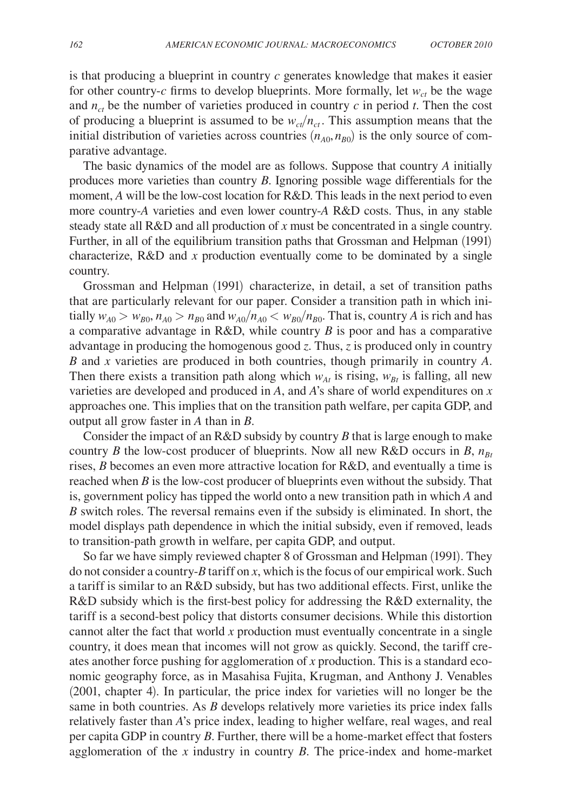is that producing a blueprint in country *c* generates knowledge that makes it easier for other country- $c$  firms to develop blueprints. More formally, let  $w_{ct}$  be the wage and  $n_{ct}$  be the number of varieties produced in country  $c$  in period  $t$ . Then the cost of producing a blueprint is assumed to be  $w_{ct}/n_{ct}$ . This assumption means that the initial distribution of varieties across countries  $(n_{A0}, n_{B0})$  is the only source of comparative advantage.

The basic dynamics of the model are as follows. Suppose that country *A* initially produces more varieties than country *B*. Ignoring possible wage differentials for the moment, *A* will be the low-cost location for R&D. This leads in the next period to even more country-*A* varieties and even lower country-*A* R&D costs. Thus, in any stable steady state all R&D and all production of *x* must be concentrated in a single country. Further, in all of the equilibrium transition paths that Grossman and Helpman (1991) characterize, R&D and *x* production eventually come to be dominated by a single country.

Grossman and Helpman (1991) characterize, in detail, a set of transition paths that are particularly relevant for our paper. Consider a transition path in which initially  $w_{A0} > w_{B0}$ ,  $n_{A0} > n_{B0}$  and  $w_{A0}/n_{A0} < w_{B0}/n_{B0}$ . That is, country *A* is rich and has a comparative advantage in R&D, while country *B* is poor and has a comparative advantage in producing the homogenous good *z*. Thus, *z* is produced only in country *B* and *x* varieties are produced in both countries, though primarily in country *A*. Then there exists a transition path along which  $w_{At}$  is rising,  $w_{Bt}$  is falling, all new varieties are developed and produced in *A*, and *A*'s share of world expenditures on *x* approaches one. This implies that on the transition path welfare, per capita GDP, and output all grow faster in *A* than in *B*.

Consider the impact of an R&D subsidy by country *B* that is large enough to make country *B* the low-cost producer of blueprints. Now all new R&D occurs in *B*,  $n_{Bt}$ rises, *B* becomes an even more attractive location for R&D, and eventually a time is reached when *B* is the low-cost producer of blueprints even without the subsidy. That is, government policy has tipped the world onto a new transition path in which *A* and *B* switch roles. The reversal remains even if the subsidy is eliminated. In short, the model displays path dependence in which the initial subsidy, even if removed, leads to transition-path growth in welfare, per capita GDP, and output.

So far we have simply reviewed chapter 8 of Grossman and Helpman (1991). They do not consider a country-*B* tariff on *x*, which is the focus of our empirical work. Such a tariff is similar to an R&D subsidy, but has two additional effects. First, unlike the R&D subsidy which is the first-best policy for addressing the R&D externality, the tariff is a second-best policy that distorts consumer decisions. While this distortion cannot alter the fact that world *x* production must eventually concentrate in a single country, it does mean that incomes will not grow as quickly. Second, the tariff creates another force pushing for agglomeration of *x* production. This is a standard economic geography force, as in Masahisa Fujita, Krugman, and Anthony J. Venables (2001, chapter 4). In particular, the price index for varieties will no longer be the same in both countries. As *B* develops relatively more varieties its price index falls relatively faster than *A*'s price index, leading to higher welfare, real wages, and real per capita GDP in country *B*. Further, there will be a home-market effect that fosters agglomeration of the *x* industry in country *B*. The price-index and home-market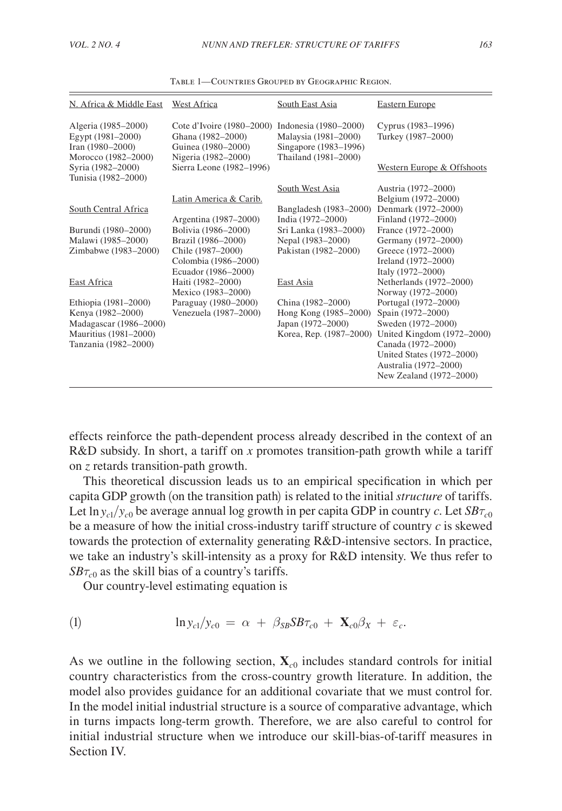<span id="page-5-0"></span>

| N. Africa & Middle East                                                                 | West Africa                                                                                 | South East Asia                                                                                | Eastern Europe                           |
|-----------------------------------------------------------------------------------------|---------------------------------------------------------------------------------------------|------------------------------------------------------------------------------------------------|------------------------------------------|
| Algeria (1985–2000)<br>Egypt (1981–2000)<br>Iran $(1980 - 2000)$<br>Morocco (1982-2000) | Cote d'Ivoire (1980–2000)<br>Ghana (1982–2000)<br>Guinea (1980–2000)<br>Nigeria (1982–2000) | Indonesia (1980–2000)<br>Malaysia (1981–2000)<br>Singapore (1983–1996)<br>Thailand (1981–2000) | Cyprus (1983–1996)<br>Turkey (1987–2000) |
| Syria (1982–2000)<br>Tunisia (1982-2000)                                                | Sierra Leone (1982–1996)                                                                    |                                                                                                | Western Europe & Offshoots               |
|                                                                                         |                                                                                             | South West Asia                                                                                | Austria (1972–2000)                      |
|                                                                                         | Latin America & Carib.                                                                      |                                                                                                | Belgium (1972-2000)                      |
| South Central Africa                                                                    |                                                                                             | Bangladesh (1983–2000)                                                                         | Denmark (1972–2000)                      |
|                                                                                         | Argentina (1987–2000)                                                                       | India (1972–2000)                                                                              | Finland (1972-2000)                      |
| Burundi (1980-2000)                                                                     | Bolivia (1986-2000)                                                                         | Sri Lanka (1983–2000)                                                                          | France (1972–2000)                       |
| Malawi (1985-2000)                                                                      | Brazil (1986-2000)                                                                          | Nepal (1983–2000)                                                                              | Germany (1972-2000)                      |
| Zimbabwe (1983–2000)                                                                    | Chile (1987–2000)                                                                           | Pakistan (1982-2000)                                                                           | Greece (1972-2000)                       |
|                                                                                         | Colombia (1986-2000)                                                                        |                                                                                                | Ireland (1972–2000)                      |
|                                                                                         | Ecuador (1986–2000)                                                                         |                                                                                                | Italy (1972–2000)                        |
| East Africa                                                                             | Haiti (1982–2000)                                                                           | East Asia                                                                                      | Netherlands (1972–2000)                  |
|                                                                                         | Mexico (1983–2000)                                                                          |                                                                                                | Norway (1972–2000)                       |
| Ethiopia (1981–2000)                                                                    | Paraguay (1980–2000)                                                                        | China (1982-2000)                                                                              | Portugal (1972–2000)                     |
| Kenya (1982–2000)                                                                       | Venezuela (1987-2000)                                                                       | Hong Kong (1985–2000)                                                                          | Spain (1972-2000)                        |
| Madagascar (1986–2000)                                                                  |                                                                                             | Japan (1972-2000)                                                                              | Sweden (1972–2000)                       |
| Mauritius (1981–2000)                                                                   |                                                                                             | Korea, Rep. (1987–2000)                                                                        | United Kingdom $(1972-2000)$             |
| Tanzania (1982-2000)                                                                    |                                                                                             |                                                                                                | Canada (1972-2000)                       |
|                                                                                         |                                                                                             |                                                                                                | United States (1972–2000)                |
|                                                                                         |                                                                                             |                                                                                                | Australia (1972–2000)                    |
|                                                                                         |                                                                                             |                                                                                                | New Zealand (1972–2000)                  |

Table 1—Countries Grouped by Geographic Region.

effects reinforce the path-dependent process already described in the context of an R&D subsidy. In short, a tariff on *x* promotes transition-path growth while a tariff on *z* retards transition-path growth.

This theoretical discussion leads us to an empirical specification in which per capita GDP growth (on the transition path) is related to the initial *structure* of tariffs. Let  $\ln y_{c1}/y_{c0}$  be average annual log growth in per capita GDP in country *c*. Let  $SB\tau_{c0}$ be a measure of how the initial cross-industry tariff structure of country *c* is skewed towards the protection of externality generating R&D-intensive sectors. In practice, we take an industry's skill-intensity as a proxy for R&D intensity. We thus refer to  $SB\tau_{c0}$  as the skill bias of a country's tariffs.

Our country-level estimating equation is

(1) 
$$
\ln y_{c1}/y_{c0} = \alpha + \beta_{SB} S B \tau_{c0} + \mathbf{X}_{c0} \beta_X + \varepsilon_c.
$$

As we outline in the following section,  $\mathbf{X}_{c0}$  includes standard controls for initial country characteristics from the cross-country growth literature. In addition, the model also provides guidance for an additional covariate that we must control for. In the model initial industrial structure is a source of comparative advantage, which in turns impacts long-term growth. Therefore, we are also careful to control for initial industrial structure when we introduce our skill-bias-of-tariff measures in Section IV.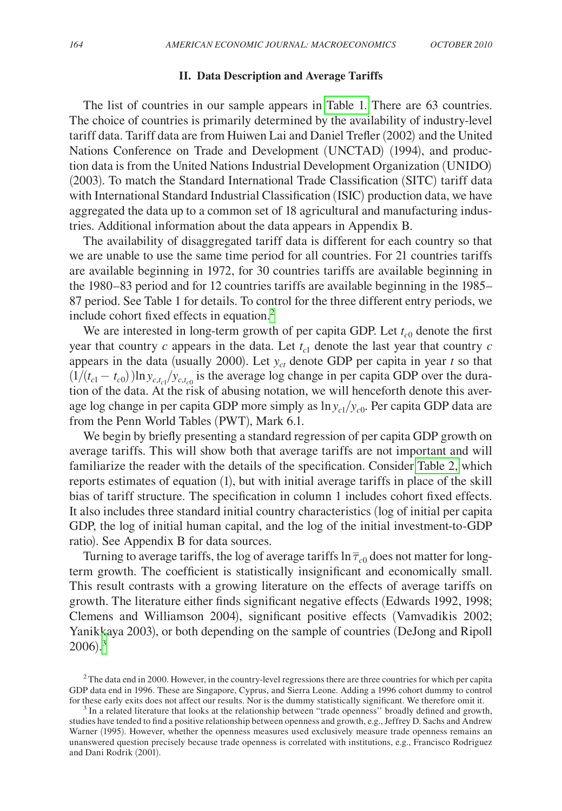#### **II. Data Description and Average Tariffs**

<span id="page-6-0"></span>The list of countries in our sample appears in [Table 1.](#page-5-0) There are 63 countries. The choice of countries is primarily determined by the availability of industry-level tariff data. Tariff data are from Huiwen Lai and Daniel Trefler (2002) and the United Nations Conference on Trade and Development (UNCTAD) (1994), and production data is from the United Nations Industrial Development Organization (UNIDO) (2003). To match the Standard International Trade Classification (SITC) tariff data with International Standard Industrial Classification (ISIC) production data, we have aggregated the data up to a common set of 18 agricultural and manufacturing industries. Additional information about the data appears in Appendix B.

The availability of disaggregated tariff data is different for each country so that we are unable to use the same time period for all countries. For 21 countries tariffs are available beginning in 1972, for 30 countries tariffs are available beginning in the 1980–83 period and for 12 countries tariffs are available beginning in the 1985– 87 period. See Table 1 for details. To control for the three different entry periods, we include cohort fixed effects in equation.<sup>[2](#page-6-1)</sup>

We are interested in long-term growth of per capita GDP. Let  $t_{c0}$  denote the first year that country  $c$  appears in the data. Let  $t_{c1}$  denote the last year that country  $c$ appears in the data (usually 2000). Let  $y_{ct}$  denote GDP per capita in year  $t$  so that  $(1/(t_{c1} - t_{c0}))\ln y_{c,t_{c1}}/y_{c,t_{c0}}$  is the average log change in per capita GDP over the duration of the data. At the risk of abusing notation, we will henceforth denote this average log change in per capita GDP more simply as ln *yc*1/*yc*0. Per capita GDP data are from the Penn World Tables (PWT), Mark 6.1.

We begin by briefly presenting a standard regression of per capita GDP growth on average tariffs. This will show both that average tariffs are not important and will familiarize the reader with the details of the specification. Consider [Table 2,](#page-7-0) which reports estimates of equation (1), but with initial average tariffs in place of the skill bias of tariff structure. The specification in column 1 includes cohort fixed effects. It also includes three standard initial country characteristics (log of initial per capita GDP, the log of initial human capital, and the log of the initial investment-to-GDP ratio). See Appendix B for data sources.

Turning to average tariffs, the log of average tariffs  $\ln \overline{\tau}_{c0}$  does not matter for longterm growth. The coefficient is statistically insignificant and economically small. This result contrasts with a growing literature on the effects of average tariffs on growth. The literature either finds significant negative effects (Edwards 1992, 1998; Clemens and Williamson 2004), significant positive effects (Vamvadikis 2002; Yanikkaya 2003), or both depending on the sample of countries (DeJong and Ripoll 2006). [3](#page-6-2)

<span id="page-6-1"></span><sup>&</sup>lt;sup>2</sup> The data end in 2000. However, in the country-level regressions there are three countries for which per capita GDP data end in 1996. These are Singapore, Cyprus, and Sierra Leone. Adding a 1996 cohort dummy to control for these early exits does not affect our results. Nor is the dummy statistically significant. We therefore omit it

<span id="page-6-2"></span><sup>&</sup>lt;sup>3</sup> In a related literature that looks at the relationship between "trade openness" broadly defined and growth, studies have tended to find a positive relationship between openness and growth, e.g., Jeffrey D. Sachs and Andrew Warner (1995). However, whether the openness measures used exclusively measure trade openness remains an unanswered question precisely because trade openness is correlated with institutions, e.g., Francisco Rodriguez and Dani Rodrik (2001).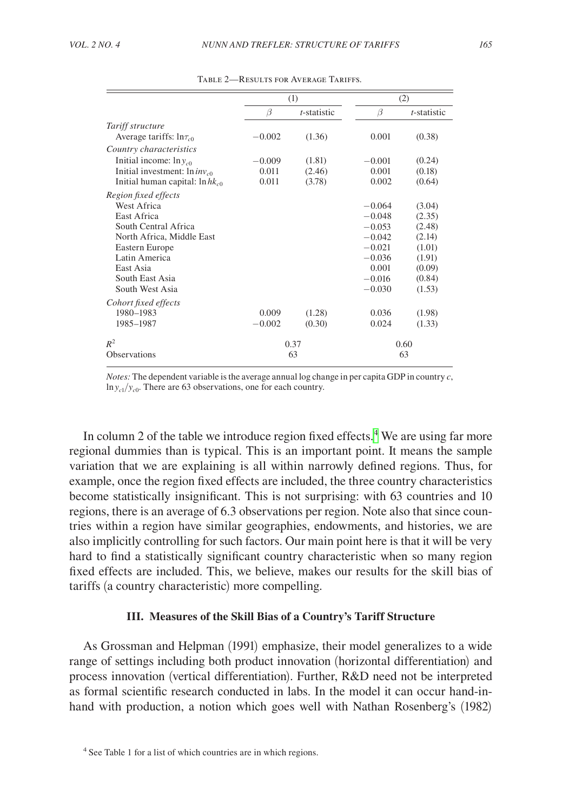<span id="page-7-0"></span>

|                                      |          | (1)                 |          | (2)         |
|--------------------------------------|----------|---------------------|----------|-------------|
|                                      | ß        | <i>t</i> -statistic | ß        | t-statistic |
| Tariff structure                     |          |                     |          |             |
| Average tariffs: $\ln \tau_{c0}$     | $-0.002$ | (1.36)              | 0.001    | (0.38)      |
| Country characteristics              |          |                     |          |             |
| Initial income: $\ln y_{c0}$         | $-0.009$ | (1.81)              | $-0.001$ | (0.24)      |
| Initial investment: $ln inv_{c0}$    | 0.011    | (2.46)              | 0.001    | (0.18)      |
| Initial human capital: $ln h k_{c0}$ | 0.011    | (3.78)              | 0.002    | (0.64)      |
| Region fixed effects                 |          |                     |          |             |
| West Africa                          |          |                     | $-0.064$ | (3.04)      |
| East Africa                          |          |                     | $-0.048$ | (2.35)      |
| South Central Africa                 |          |                     | $-0.053$ | (2.48)      |
| North Africa, Middle East            |          |                     | $-0.042$ | (2.14)      |
| Eastern Europe                       |          |                     | $-0.021$ | (1.01)      |
| Latin America                        |          |                     | $-0.036$ | (1.91)      |
| East Asia                            |          |                     | 0.001    | (0.09)      |
| South East Asia                      |          |                     | $-0.016$ | (0.84)      |
| South West Asia                      |          |                     | $-0.030$ | (1.53)      |
| Cohort fixed effects                 |          |                     |          |             |
| 1980-1983                            | 0.009    | (1.28)              | 0.036    | (1.98)      |
| 1985-1987                            | $-0.002$ | (0.30)              | 0.024    | (1.33)      |
| $R^2$                                |          | 0.37                |          | 0.60        |
| <b>Observations</b>                  |          | 63                  |          | 63          |

Table 2—Results for Average Tariffs.

*Notes:* The dependent variable is the average annual log change in per capita GDP in country *c*,  $\ln y_{c1}/y_{c0}$ . There are 63 observations, one for each country.

In column 2 of the table we introduce region fixed effects.<sup>[4](#page-7-1)</sup> We are using far more regional dummies than is typical. This is an important point. It means the sample variation that we are explaining is all within narrowly defined regions. Thus, for example, once the region fixed effects are included, the three country characteristics become statistically insignificant. This is not surprising: with 63 countries and 10 regions, there is an average of 6.3 observations per region. Note also that since countries within a region have similar geographies, endowments, and histories, we are also implicitly controlling for such factors. Our main point here is that it will be very hard to find a statistically significant country characteristic when so many region fixed effects are included. This, we believe, makes our results for the skill bias of tariffs (a country characteristic) more compelling.

### **III. Measures of the Skill Bias of a Country's Tariff Structure**

As Grossman and Helpman (1991) emphasize, their model generalizes to a wide range of settings including both product innovation (horizontal differentiation) and process innovation (vertical differentiation). Further, R&D need not be interpreted as formal scientific research conducted in labs. In the model it can occur hand-inhand with production, a notion which goes well with Nathan Rosenberg's (1982)

<span id="page-7-1"></span><sup>4</sup> See Table 1 for a list of which countries are in which regions.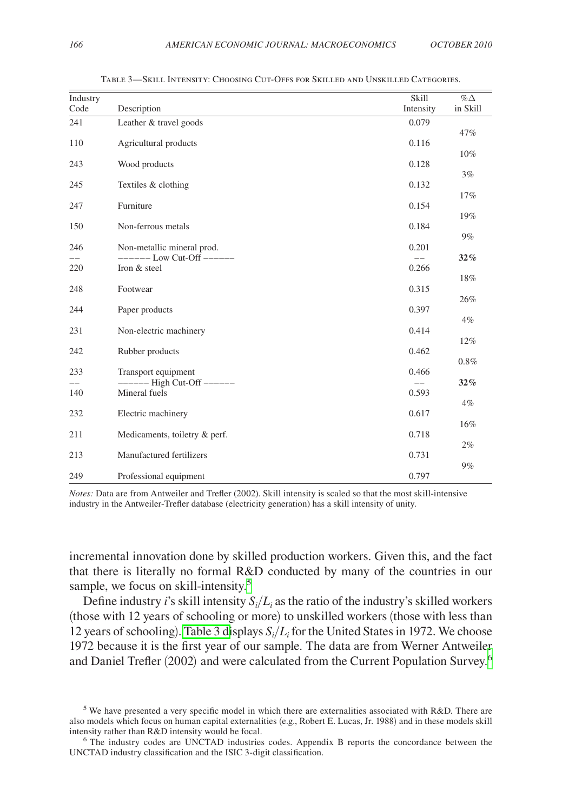| Industry<br>Code | Description                                 | <b>Skill</b><br>Intensity | $\% \Delta$<br>in Skill |
|------------------|---------------------------------------------|---------------------------|-------------------------|
| 241              | Leather & travel goods                      | 0.079                     |                         |
| 110              | Agricultural products                       | 0.116                     | 47%                     |
| 243              | Wood products                               | 0.128                     | 10%                     |
| 245              | Textiles & clothing                         | 0.132                     | 3%                      |
| 247              | Furniture                                   | 0.154                     | 17%                     |
| 150              | Non-ferrous metals                          | 0.184                     | 19%                     |
| 246              | Non-metallic mineral prod.                  | 0.201                     | 9%                      |
| $-$<br>220       | ------ Low Cut-Off ------<br>Iron & steel   | 0.266                     | $32\%$                  |
| 248              | Footwear                                    | 0.315                     | 18%                     |
| 244              | Paper products                              | 0.397                     | 26%                     |
| 231              | Non-electric machinery                      | 0.414                     | $4\%$                   |
| 242              | Rubber products                             | 0.462                     | 12%                     |
| 233              | Transport equipment                         | 0.466                     | 0.8%                    |
| 140              | ------ High Cut-Off ------<br>Mineral fuels | 0.593                     | 32%                     |
| 232              | Electric machinery                          | 0.617                     | $4\%$                   |
| 211              | Medicaments, toiletry & perf.               | 0.718                     | 16%                     |
| 213              | Manufactured fertilizers                    | 0.731                     | $2\%$                   |
| 249              | Professional equipment                      | 0.797                     | 9%                      |

Table 3—Skill Intensity: Choosing Cut-Offs for Skilled and Unskilled Categories.

*Notes:* Data are from Antweiler and Trefler (2002). Skill intensity is scaled so that the most skill-intensive industry in the Antweiler-Trefler database (electricity generation) has a skill intensity of unity.

incremental innovation done by skilled production workers. Given this, and the fact that there is literally no formal R&D conducted by many of the countries in our sample, we focus on skill-intensity.<sup>5</sup>

Define industry *i*'s skill intensity  $S_i/L_i$  as the ratio of the industry's skilled workers (those with 12 years of schooling or more) to unskilled workers (those with less than 12 years of schooling). Table 3 displays *Si* /*Li* for the United States in 1972. We choose 1972 because it is the first year of our sample. The data are from Werner Antweiler and Daniel Trefler (2002) and were calculated from the Current Population Survey.[6](#page-8-1)

<span id="page-8-0"></span><sup>&</sup>lt;sup>5</sup> We have presented a very specific model in which there are externalities associated with R&D. There are also models which focus on human capital externalities (e.g., Robert E. Lucas, Jr. 1988) and in these models skill intensity rather than R&D intensity would be focal.

<span id="page-8-1"></span> $6$  The industry codes are UNCTAD industries codes. Appendix B reports the concordance between the UNCTAD industry classification and the ISIC 3-digit classification.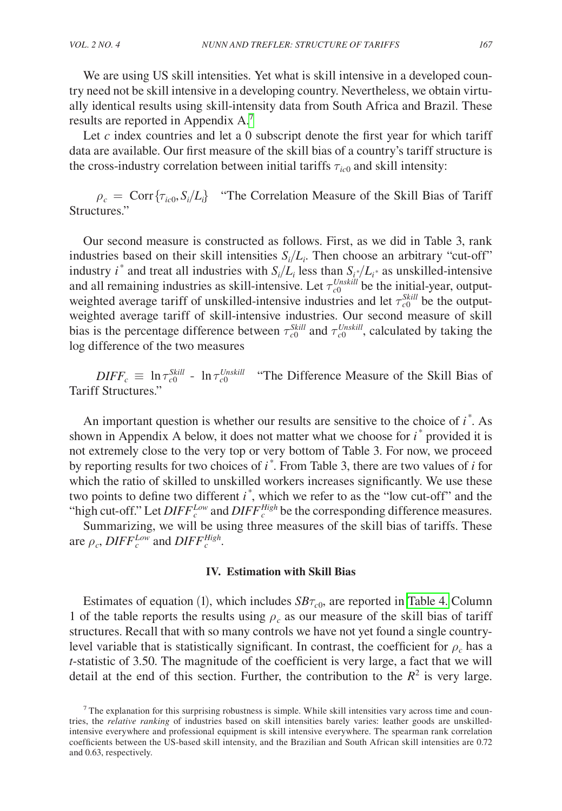<span id="page-9-0"></span>We are using US skill intensities. Yet what is skill intensive in a developed country need not be skill intensive in a developing country. Nevertheless, we obtain virtually identical results using skill-intensity data from South Africa and Brazil. These results are reported in Appendix A[.7](#page-9-1)

Let  $c$  index countries and let a  $0$  subscript denote the first year for which tariff data are available. Our first measure of the skill bias of a country's tariff structure is the cross-industry correlation between initial tariffs  $\tau_{ic0}$  and skill intensity:

 $\rho_c = \text{Corr}\{\tau_{ic0}, S_i/L_i\}$  "The Correlation Measure of the Skill Bias of Tariff Structures."

Our second measure is constructed as follows. First, as we did in Table 3, rank industries based on their skill intensities  $S_i/L_i$ . Then choose an arbitrary "cut-off" industry *i*<sup>\*</sup> and treat all industries with  $S_i/L_i$  less than  $S_i/L_i$ <sup>\*</sup> as unskilled-intensive and all remaining industries as skill-intensive. Let  $\tau_{c0}^{Unskill}$  be the initial-year, outputweighted average tariff of unskilled-intensive industries and let  $\tau_{c0}^{Skill}$  be the outputweighted average tariff of skill-intensive industries. Our second measure of skill bias is the percentage difference between  $\tau_{c0}^{Skill}$  and  $\tau_{c0}^{Unskill}$ , calculated by taking the log difference of the two measures

 $DIFF_c \equiv \ln \tau_{c0}^{Still}$  -  $\ln \tau_{c0}^{Unskill}$  "The Difference Measure of the Skill Bias of Tariff Structures."

An important question is whether our results are sensitive to the choice of *i* \* . As shown in Appendix A below, it does not matter what we choose for  $i^*$  provided it is not extremely close to the very top or very bottom of Table 3. For now, we proceed by reporting results for two choices of *i* \* . From Table 3, there are two values of *i* for which the ratio of skilled to unskilled workers increases significantly. We use these two points to define two different  $i^*$ , which we refer to as the "low cut-off" and the "high cut-off." Let  $DIFF_c^{Low}$  and  $DIFF_c^{High}$  be the corresponding difference measures.

Summarizing, we will be using three measures of the skill bias of tariffs. These are  $\rho_c$ , *DIFF*<sub>*c*</sub><sup>*Low*</sup> and *DIFF*<sup>*High*</sup>.

#### **IV. Estimation with Skill Bias**

Estimates of equation (1), which includes  $SB\tau_{c0}$ , are reported in [Table 4.](#page-10-0) Column 1 of the table reports the results using  $\rho_c$  as our measure of the skill bias of tariff structures. Recall that with so many controls we have not yet found a single countrylevel variable that is statistically significant. In contrast, the coefficient for  $\rho_c$  has a *t*-statistic of 3.50. The magnitude of the coefficient is very large, a fact that we will detail at the end of this section. Further, the contribution to the  $R^2$  is very large.

<span id="page-9-1"></span> $<sup>7</sup>$  The explanation for this surprising robustness is simple. While skill intensities vary across time and coun-</sup> tries, the *relative ranking* of industries based on skill intensities barely varies: leather goods are unskilledintensive everywhere and professional equipment is skill intensive everywhere. The spearman rank correlation coefficients between the US-based skill intensity, and the Brazilian and South African skill intensities are 0.72 and 0.63, respectively.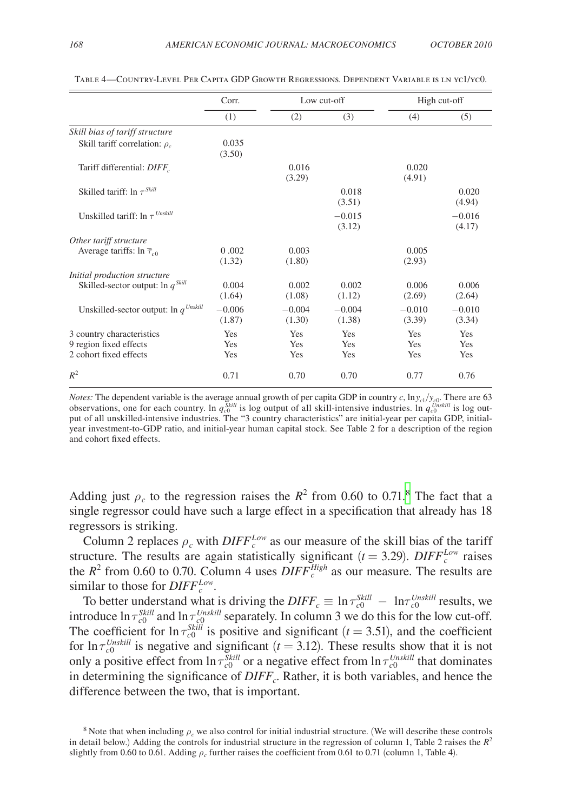|                                                                               | Corr.              |                    | Low cut-off        |                    | High cut-off       |
|-------------------------------------------------------------------------------|--------------------|--------------------|--------------------|--------------------|--------------------|
|                                                                               | (1)                | (2)                | (3)                | (4)                | (5)                |
| Skill bias of tariff structure                                                |                    |                    |                    |                    |                    |
| Skill tariff correlation: $\rho_c$                                            | 0.035<br>(3.50)    |                    |                    |                    |                    |
| Tariff differential: DIFF                                                     |                    | 0.016<br>(3.29)    |                    | 0.020<br>(4.91)    |                    |
| Skilled tariff: $\ln \tau^{skill}$                                            |                    |                    | 0.018<br>(3.51)    |                    | 0.020<br>(4.94)    |
| Unskilled tariff: $\ln \tau^{Unskill}$                                        |                    |                    | $-0.015$<br>(3.12) |                    | $-0.016$<br>(4.17) |
| Other tariff structure                                                        |                    |                    |                    |                    |                    |
| Average tariffs: $\ln \overline{\tau}_{c0}$                                   | 0.002<br>(1.32)    | 0.003<br>(1.80)    |                    | 0.005<br>(2.93)    |                    |
| Initial production structure                                                  |                    |                    |                    |                    |                    |
| Skilled-sector output: In $q^{skill}$                                         | 0.004<br>(1.64)    | 0.002<br>(1.08)    | 0.002<br>(1.12)    | 0.006<br>(2.69)    | 0.006<br>(2.64)    |
| Unskilled-sector output: $\ln q^{Unskill}$                                    | $-0.006$<br>(1.87) | $-0.004$<br>(1.30) | $-0.004$<br>(1.38) | $-0.010$<br>(3.39) | $-0.010$<br>(3.34) |
| 3 country characteristics<br>9 region fixed effects<br>2 cohort fixed effects | Yes<br>Yes<br>Yes  | Yes<br>Yes<br>Yes  | Yes<br>Yes<br>Yes  | Yes<br>Yes<br>Yes  | Yes<br>Yes<br>Yes  |
| $R^2$                                                                         | 0.71               | 0.70               | 0.70               | 0.77               | 0.76               |

<span id="page-10-0"></span>Table 4—Country-Level Per Capita GDP Growth Regressions. Dependent Variable is ln yc1/yc0.

*Notes:* The dependent variable is the average annual growth of per capita GDP in country  $c$ ,  $\ln y_c/y_c0$ . There are 63 observations, one for each country. In  $q_{\text{coll}}^{\text{EM}}$  is log output of all skill-intensive industries. In  $q_{\text{coll}}^{\text{Unskill}}$  is log output of all unskilled-intensive industries. The "3 country characteristics" are initial-year per capita GDP, initialyear investment-to-GDP ratio, and initial-year human capital stock. See Table 2 for a description of the region and cohort fixed effects.

Adding just  $\rho_c$  to the regression raises the  $R^2$  from 0.60 to 0.71.<sup>[8](#page-10-1)</sup> The fact that a single regressor could have such a large effect in a specification that already has 18 regressors is striking.

Column 2 replaces  $\rho_c$  with  $DIFF_c^{Low}$  as our measure of the skill bias of the tariff structure. The results are again statistically significant ( $t = 3.29$ ). *DIFF*<sup>*Low*</sup> raises the  $R^2$  from 0.60 to 0.70. Column 4 uses  $DIFF_c^{High}$  as our measure. The results are similar to those for  $\textit{DIFF}_c^{\textit{Low}}$ .

To better understand what is driving the  $DIF_{c} \equiv \ln \tau_{c0}^{Skill} - \ln \tau_{c0}^{Unskill}$  results, we introduce  $\ln \tau_{c0}^{Still}$  and  $\ln \tau_{c0}^{Unskill}$  separately. In column 3 we do this for the low cut-off. The coefficient for  $\ln \tau_{c0}^{Still}$  is positive and significant (*t* = 3.51), and the coefficient for  $\ln \tau_{c0}^{Unskill}$  is negative and significant (*t* = 3.12). These results show that it is not only a positive effect from  $\ln \tau_{c0}^{Still}$  or a negative effect from  $\ln \tau_{c0}^{Unskill}$  that dominates in determining the significance of  $DIFF_c$ . Rather, it is both variables, and hence the difference between the two, that is important.

<span id="page-10-1"></span><sup>&</sup>lt;sup>8</sup> Note that when including  $\rho_c$  we also control for initial industrial structure. (We will describe these controls in detail below.) Adding the controls for industrial structure in the regression of column 1, Table 2 raises the  $R<sup>2</sup>$ slightly from 0.60 to 0.61. Adding ρ*c* further raises the coefficient from 0.61 to 0.71 (column 1, Table 4).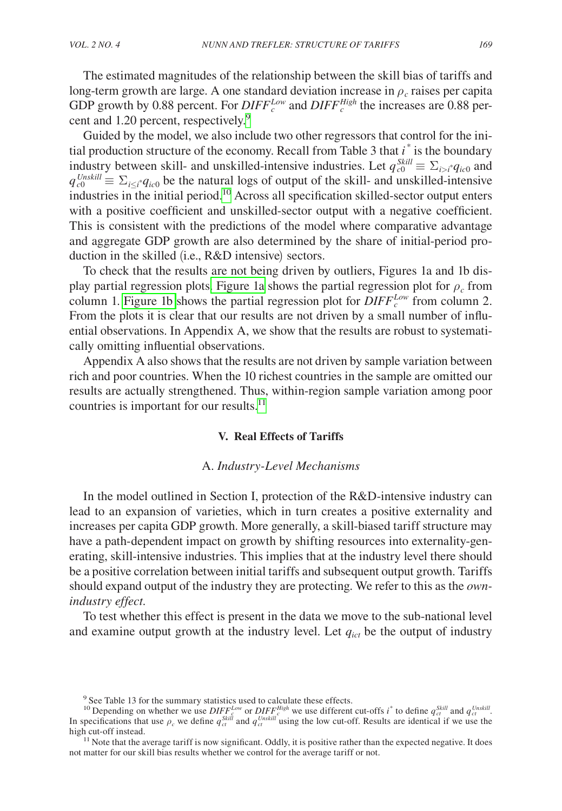<span id="page-11-0"></span>The estimated magnitudes of the relationship between the skill bias of tariffs and long-term growth are large. A one standard deviation increase in  $\rho_c$  raises per capita GDP growth by 0.88 percent. For  $DIFF_c^{Low}$  and  $DIFF_c^{High}$  the increases are 0.88 per-cent and 1.20 percent, respectively.<sup>[9](#page-11-1)</sup>

Guided by the model, we also include two other regressors that control for the initial production structure of the economy. Recall from Table 3 that *i* \* is the boundary industry between skill- and unskilled-intensive industries. Let  $q_{c0}^{Skill} \equiv \sum_{i>i} q_{ic0}$  and  $q_{c0}^{Unskill} \equiv \sum_{i \leq i} q_{ic0}$  be the natural logs of output of the skill- and unskilled-intensive industries in the initial period[.10](#page-11-2) Across all specification skilled-sector output enters with a positive coefficient and unskilled-sector output with a negative coefficient. This is consistent with the predictions of the model where comparative advantage and aggregate GDP growth are also determined by the share of initial-period production in the skilled (i.e., R&D intensive) sectors.

To check that the results are not being driven by outliers, Figures 1a and 1b dis-play partial regression plots[. Figure 1a](#page-12-0) shows the partial regression plot for  $\rho_c$  from column 1. [Figure 1b](#page-12-0) shows the partial regression plot for  $DIFF_c^{Low}$  from column 2. From the plots it is clear that our results are not driven by a small number of influential observations. In Appendix A, we show that the results are robust to systematically omitting influential observations.

Appendix A also shows that the results are not driven by sample variation between rich and poor countries. When the 10 richest countries in the sample are omitted our results are actually strengthened. Thus, within-region sample variation among poor countries is important for our results.<sup>11</sup>

### **V. Real Effects of Tariffs**

### A. *Industry-Level Mechanisms*

In the model outlined in Section I, protection of the R&D-intensive industry can lead to an expansion of varieties, which in turn creates a positive externality and increases per capita GDP growth. More generally, a skill-biased tariff structure may have a path-dependent impact on growth by shifting resources into externality-generating, skill-intensive industries. This implies that at the industry level there should be a positive correlation between initial tariffs and subsequent output growth. Tariffs should expand output of the industry they are protecting. We refer to this as the *ownindustry effect*.

To test whether this effect is present in the data we move to the sub-national level and examine output growth at the industry level. Let *qict* be the output of industry

<span id="page-11-2"></span><span id="page-11-1"></span><sup>&</sup>lt;sup>9</sup> See Table 13 for the summary statistics used to calculate these effects.

<sup>&</sup>lt;sup>10</sup> Depending on whether we use  $DIFF_{\mathcal{L}}^{Low}$  or  $DIFF_{\mathcal{L}}^{High}$  we use different cut-offs *i*<sup>\*</sup> to define  $q_{\mathcal{L}}^{Still}$  and  $q_{\mathcal{L}}^{Unskill}$ . In specifications that use  $\rho_c$  we define  $q_{ct}^{Still}$  and  $q_{ct}^{Unskill}$  using the low cut-off. Results are identical if we use the high cut-off instead.<br><sup>11</sup> Note that the average tariff is now significant. Oddly, it is positive rather than the expected negative. It does

<span id="page-11-3"></span>not matter for our skill bias results whether we control for the average tariff or not.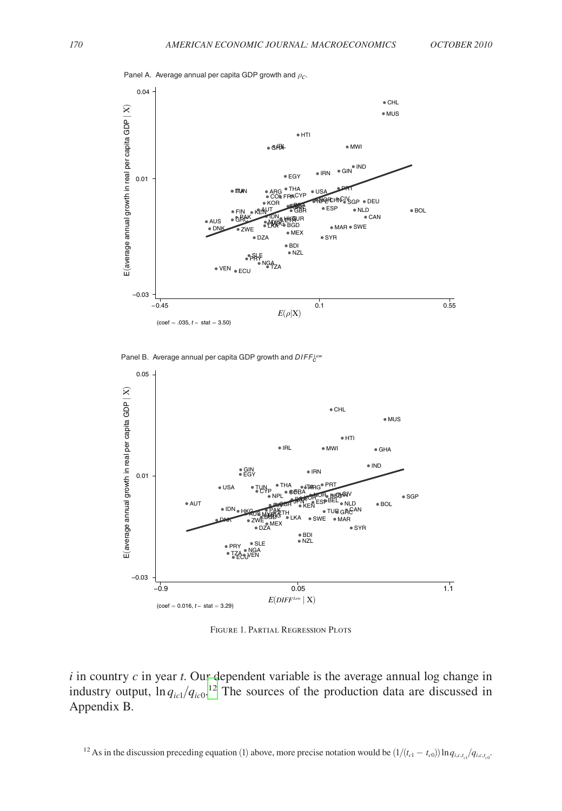<span id="page-12-0"></span>

Panel B. Average annual per capita GDP growth and  $\mathit{DIFF}^\mathit{Low}_\mathit{C}$ 



FIGURE 1. PARTIAL REGRESSION PLOTS

*i* in country *c* in year *t*. Our dependent variable is the average annual log change in industry output,  $\ln q_{ic1}/q_{ic0}$ <sup>12</sup>. The sources of the production data are discussed in Appendix B.

<span id="page-12-1"></span><sup>12</sup> As in the discussion preceding equation (1) above, more precise notation would be  $(1/(t_{c1} - t_{c0})) \ln q_{i,c,t_{c0}}/q_{i,c,t_{c0}}$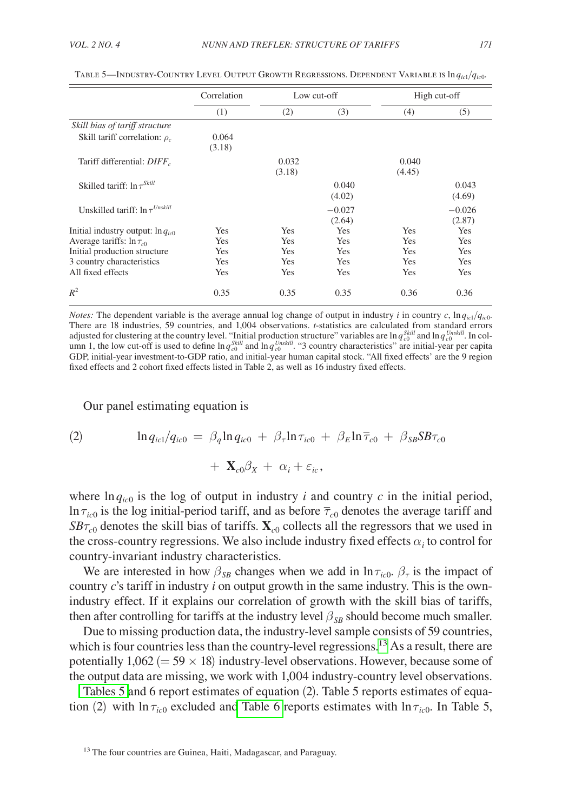|                                        | Correlation     |                 | Low cut-off        |                 | High cut-off       |
|----------------------------------------|-----------------|-----------------|--------------------|-----------------|--------------------|
|                                        | (1)             | (2)             | (3)                | (4)             | (5)                |
| Skill bias of tariff structure         |                 |                 |                    |                 |                    |
| Skill tariff correlation: $\rho_c$     | 0.064<br>(3.18) |                 |                    |                 |                    |
| Tariff differential: DIFF              |                 | 0.032<br>(3.18) |                    | 0.040<br>(4.45) |                    |
| Skilled tariff: $\ln \tau^{Skill}$     |                 |                 | 0.040<br>(4.02)    |                 | 0.043<br>(4.69)    |
| Unskilled tariff: $\ln \tau^{Unskill}$ |                 |                 | $-0.027$<br>(2.64) |                 | $-0.026$<br>(2.87) |
| Initial industry output: $\ln q_{ic0}$ | Yes             | Yes             | Yes                | Yes             | Yes                |
| Average tariffs: $\ln \tau_{c0}$       | Yes             | Yes             | Yes                | Yes             | Yes                |
| Initial production structure           | Yes             | Yes             | Yes                | Yes             | Yes                |
| 3 country characteristics              | Yes             | Yes             | Yes                | Yes             | Yes                |
| All fixed effects                      | Yes             | Yes             | Yes                | Yes             | Yes                |
| $R^2$                                  | 0.35            | 0.35            | 0.35               | 0.36            | 0.36               |

Table 5—Industry-Country Level Output Growth Regressions. Dependent Variable is ln *qic*1/*qic*0.

*Notes:* The dependent variable is the average annual log change of output in industry *i* in country *c*,  $\ln q_{ic}$ . There are 18 industries, 59 countries, and 1,004 observations. *t*-statistics are calculated from standard errors adjusted for clustering at the country level. "Initial production structure" variables are  $\ln q_{c0}^{Skill}$  and  $\ln q_{c0}^{Unstill}$ . In column 1, the low cut-off is used to define  $\ln q_{c0}^{Shill}$  and  $\ln q_{c0}^{Unstill}$ . "3 country characteristics" are initial-year per capita GDP, initial-year investment-to-GDP ratio, and initial-year human capital stock. "All fixed effects' are the 9 region fixed effects and 2 cohort fixed effects listed in Table 2, as well as 16 industry fixed effects.

Our panel estimating equation is

(2) 
$$
\ln q_{ic1}/q_{ic0} = \beta_q \ln q_{ic0} + \beta_\tau \ln \tau_{ic0} + \beta_E \ln \overline{\tau}_{c0} + \beta_{SB} SB \tau_{c0} + \mathbf{X}_{c0}\beta_X + \alpha_i + \varepsilon_{ic},
$$

where  $\ln q_{ic0}$  is the log of output in industry *i* and country *c* in the initial period, ln  $\tau_{ic0}$  is the log initial-period tariff, and as before  $\overline{\tau}_{c0}$  denotes the average tariff and  $SB\tau_{c0}$  denotes the skill bias of tariffs.  $\mathbf{X}_{c0}$  collects all the regressors that we used in the cross-country regressions. We also include industry fixed effects  $\alpha_i$  to control for country-invariant industry characteristics.

We are interested in how  $\beta_{SB}$  changes when we add in  $\ln \tau_{ic0}$ .  $\beta_{\tau}$  is the impact of country *c*'s tariff in industry *i* on output growth in the same industry. This is the ownindustry effect. If it explains our correlation of growth with the skill bias of tariffs, then after controlling for tariffs at the industry level  $\beta_{SB}$  should become much smaller.

Due to missing production data, the industry-level sample consists of 59 countries, which is four countries less than the country-level regressions.<sup>13</sup> As a result, there are potentially 1,062 (=  $59 \times 18$ ) industry-level observations. However, because some of the output data are missing, we work with 1,004 industry-country level observations.

Tables 5 and 6 report estimates of equation (2). Table 5 reports estimates of equation (2) with  $\ln \tau_{ic0}$  excluded an[d Table 6](#page-14-0) reports estimates with  $\ln \tau_{ic0}$ . In Table 5,

<span id="page-13-0"></span><sup>&</sup>lt;sup>13</sup> The four countries are Guinea, Haiti, Madagascar, and Paraguay.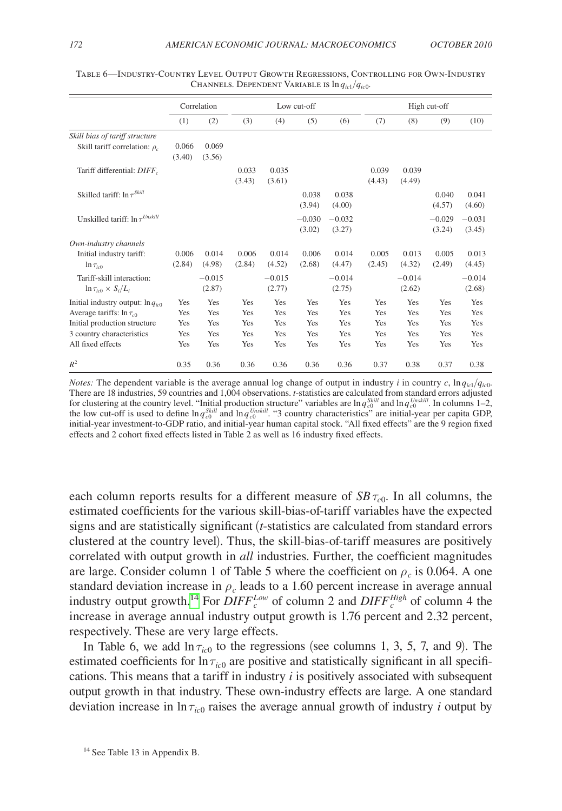|                                                                                   |        | Correlation | Low cut-off |          |          |          | High cut-off |          |          |          |
|-----------------------------------------------------------------------------------|--------|-------------|-------------|----------|----------|----------|--------------|----------|----------|----------|
|                                                                                   | (1)    | (2)         | (3)         | (4)      | (5)      | (6)      | (7)          | (8)      | (9)      | (10)     |
| Skill bias of tariff structure                                                    |        |             |             |          |          |          |              |          |          |          |
| Skill tariff correlation: $\rho_c$                                                | 0.066  | 0.069       |             |          |          |          |              |          |          |          |
|                                                                                   | (3.40) | (3.56)      |             |          |          |          |              |          |          |          |
| Tariff differential: DIFF                                                         |        |             | 0.033       | 0.035    |          |          | 0.039        | 0.039    |          |          |
|                                                                                   |        |             | (3.43)      | (3.61)   |          |          | (4.43)       | (4.49)   |          |          |
| Skilled tariff: $\ln \tau^{skill}$                                                |        |             |             |          | 0.038    | 0.038    |              |          | 0.040    | 0.041    |
|                                                                                   |        |             |             |          | (3.94)   | (4.00)   |              |          | (4.57)   | (4.60)   |
| Unskilled tariff: $\ln \tau^{Unskill}$                                            |        |             |             |          | $-0.030$ | $-0.032$ |              |          | $-0.029$ | $-0.031$ |
|                                                                                   |        |             |             |          | (3.02)   | (3.27)   |              |          | (3.24)   | (3.45)   |
| Own-industry channels                                                             |        |             |             |          |          |          |              |          |          |          |
| Initial industry tariff:                                                          | 0.006  | 0.014       | 0.006       | 0.014    | 0.006    | 0.014    | 0.005        | 0.013    | 0.005    | 0.013    |
| $\ln \tau_{ic0}$                                                                  | (2.84) | (4.98)      | (2.84)      | (4.52)   | (2.68)   | (4.47)   | (2.45)       | (4.32)   | (2.49)   | (4.45)   |
| Tariff-skill interaction:                                                         |        | $-0.015$    |             | $-0.015$ |          | $-0.014$ |              | $-0.014$ |          | $-0.014$ |
| $\ln \tau_{i\text{c}0} \times S_i/L_i$                                            |        | (2.87)      |             | (2.77)   |          | (2.75)   |              | (2.62)   |          | (2.68)   |
|                                                                                   | Yes    | Yes         | Yes         | Yes      | Yes      | Yes      | Yes          | Yes      | Yes      | Yes      |
| Initial industry output: $\ln q_{i\text{c}0}$<br>Average tariffs: $\ln \tau_{c0}$ | Yes    | Yes         | Yes         | Yes      | Yes      | Yes      | Yes          | Yes      | Yes      | Yes      |
| Initial production structure                                                      | Yes    | Yes         | Yes         | Yes      | Yes      | Yes      | Yes          | Yes      | Yes      | Yes      |
| 3 country characteristics                                                         | Yes    | Yes         | Yes         | Yes      | Yes      | Yes      | Yes          | Yes      | Yes      | Yes      |
| All fixed effects                                                                 | Yes    | Yes         | Yes         | Yes      | Yes      | Yes      | Yes          | Yes      | Yes      | Yes      |
|                                                                                   |        |             |             |          |          |          |              |          |          |          |
| $R^2$                                                                             | 0.35   | 0.36        | 0.36        | 0.36     | 0.36     | 0.36     | 0.37         | 0.38     | 0.37     | 0.38     |

<span id="page-14-0"></span>Table 6—Industry-Country Level Output Growth Regressions, Controlling for Own-Industry Channels. Dependent Variable is ln*qic*1/*qic*0.

*Notes:* The dependent variable is the average annual log change of output in industry *i* in country *c*,  $\ln q_{ic}$ ,  $/q_{ic}$ . There are 18 industries, 59 countries and 1,004 observations. *t*-statistics are calculated from standard errors adjusted for clustering at the country level. "Initial production structure" variables are  $\ln q_{\rm c0}^{2kill}$  and  $\ln q_{\rm c0}^{Unskill}$ . In columns 1–2, the low cut-off is used to define  $\ln q_{\text{c}0}^{2kill}$  and  $\ln q_{\text{c}0}^{Unshill}$ . "3 country characteristics" are initial-year per capita GDP, initial-year investment-to-GDP ratio, and initial-year human capital stock. "All fixed effects" are the 9 region fixed effects and 2 cohort fixed effects listed in Table 2 as well as 16 industry fixed effects.

each column reports results for a different measure of  $SB\tau_{c0}$ . In all columns, the estimated coefficients for the various skill-bias-of-tariff variables have the expected signs and are statistically significant (*t*-statistics are calculated from standard errors clustered at the country level). Thus, the skill-bias-of-tariff measures are positively correlated with output growth in *all* industries. Further, the coefficient magnitudes are large. Consider column 1 of Table 5 where the coefficient on  $\rho_c$  is 0.064. A one standard deviation increase in  $\rho_c$  leads to a 1.60 percent increase in average annual industry output growth.<sup>14</sup> For  $\text{DIFF}_c^{Low}$  of column 2 and  $\text{DIFF}_c^{High}$  of column 4 the increase in average annual industry output growth is 1.76 percent and 2.32 percent, respectively. These are very large effects.

In Table 6, we add  $\ln \tau_{ic0}$  to the regressions (see columns 1, 3, 5, 7, and 9). The estimated coefficients for  $\ln \tau_{ic0}$  are positive and statistically significant in all specifications. This means that a tariff in industry *i* is positively associated with subsequent output growth in that industry. These own-industry effects are large. A one standard deviation increase in  $\ln \tau_{ic0}$  raises the average annual growth of industry *i* output by

<span id="page-14-1"></span><sup>14</sup> See Table 13 in Appendix B.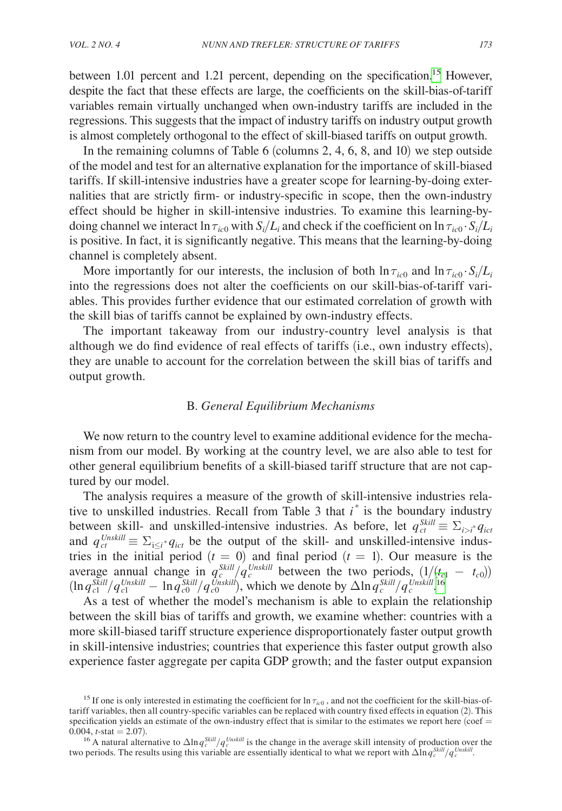<span id="page-15-0"></span>between 1.01 percent and 1.21 percent, depending on the specification.<sup>15</sup> However, despite the fact that these effects are large, the coefficients on the skill-bias-of-tariff variables remain virtually unchanged when own-industry tariffs are included in the regressions. This suggests that the impact of industry tariffs on industry output growth is almost completely orthogonal to the effect of skill-biased tariffs on output growth.

In the remaining columns of Table 6 (columns 2, 4, 6, 8, and 10) we step outside of the model and test for an alternative explanation for the importance of skill-biased tariffs. If skill-intensive industries have a greater scope for learning-by-doing externalities that are strictly firm- or industry-specific in scope, then the own-industry effect should be higher in skill-intensive industries. To examine this learning-bydoing channel we interact  $\ln \tau_{ic0}$  with  $S_i/L_i$  and check if the coefficient on  $\ln \tau_{ic0} \cdot S_i/L_i$ is positive. In fact, it is significantly negative. This means that the learning-by-doing channel is completely absent.

More importantly for our interests, the inclusion of both  $\ln \tau_{ic0}$  and  $\ln \tau_{ic0} \cdot S_i/L_i$ into the regressions does not alter the coefficients on our skill-bias-of-tariff variables. This provides further evidence that our estimated correlation of growth with the skill bias of tariffs cannot be explained by own-industry effects.

The important takeaway from our industry-country level analysis is that although we do find evidence of real effects of tariffs (i.e., own industry effects), they are unable to account for the correlation between the skill bias of tariffs and output growth.

### B. *General Equilibrium Mechanisms*

We now return to the country level to examine additional evidence for the mechanism from our model. By working at the country level, we are also able to test for other general equilibrium benefits of a skill-biased tariff structure that are not captured by our model.

The analysis requires a measure of the growth of skill-intensive industries relative to unskilled industries. Recall from Table  $3$  that  $i^*$  is the boundary industry between skill- and unskilled-intensive industries. As before, let  $q_{ct}^{Still} \equiv \sum_{i>i} q_{ict}$ and  $q_{ct}^{Unskill} \equiv \sum_{i \leq t^*} q_{ict}$  be the output of the skill- and unskilled-intensive industries in the initial period  $(t = 0)$  and final period  $(t = 1)$ . Our measure is the average annual change in  $q_c^{Still}/q_c^{Unskill}$  between the two periods,  $(1/(t_{c1} - t_{c0}))$  $(\ln q_{c1}^{Skill}/q_{c1}^{Unskill} - \ln q_{c0}^{Skill}/q_{c0}^{Unskill})$ , which we denote by  $\Delta \ln q_{c}^{Skill}/q_{c}^{Unskill}$ .

As a test of whether the model's mechanism is able to explain the relationship between the skill bias of tariffs and growth, we examine whether: countries with a more skill-biased tariff structure experience disproportionately faster output growth in skill-intensive industries; countries that experience this faster output growth also experience faster aggregate per capita GDP growth; and the faster output expansion

<span id="page-15-1"></span><sup>&</sup>lt;sup>15</sup> If one is only interested in estimating the coefficient for  $\ln \tau_{ic0}$ , and not the coefficient for the skill-bias-oftariff variables, then all country-specific variables can be replaced with country fixed effects in equation (2). This specification yields an estimate of the own-industry effect that is similar to the estimates we report here (coef =  $0.004$ , t-stat =  $2.07$ ).

<span id="page-15-2"></span><sup>0.004,</sup> *t*-stat = 2.07). <sup>16</sup> A natural alternative to  $\Delta \ln q_e^{Still}/q_e^{Unskill}$  is the change in the average skill intensity of production over the two periods. The results using this variable are essentially identical to what we report with  $\Delta \ln q_c^{Still}/q_c^{Unskill}$ .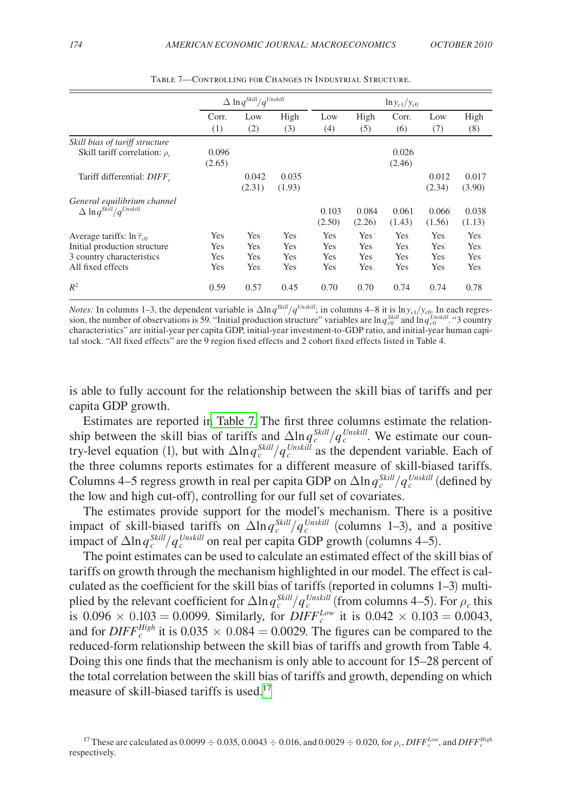|                                                                                                                               |                          | $\Delta \ln q^{Skill}/q^{Unskill}$ |                          |                          |                          | $\ln y_{c1}/y_{c0}$      |                          |                          |
|-------------------------------------------------------------------------------------------------------------------------------|--------------------------|------------------------------------|--------------------------|--------------------------|--------------------------|--------------------------|--------------------------|--------------------------|
|                                                                                                                               | Corr.<br>(1)             | Low<br>(2)                         | High<br>(3)              | Low<br>(4)               | High<br>(5)              | Corr.<br>(6)             | Low<br>(7)               | High<br>(8)              |
| Skill bias of tariff structure<br>Skill tariff correlation: $\rho_c$                                                          | 0.096<br>(2.65)          |                                    |                          |                          |                          | 0.026<br>(2.46)          |                          |                          |
| Tariff differential: <i>DIFF</i>                                                                                              |                          | 0.042<br>(2.31)                    | 0.035<br>(1.93)          |                          |                          |                          | 0.012<br>(2.34)          | 0.017<br>(3.90)          |
| General equilibrium channel<br>$\Delta \ln q^{Skill}/q^{Unskill}$                                                             |                          |                                    |                          | 0.103<br>(2.50)          | 0.084<br>(2.26)          | 0.061<br>(1.43)          | 0.066<br>(1.56)          | 0.038<br>(1.13)          |
| Average tariffs: $\ln \overline{\tau}_{c0}$<br>Initial production structure<br>3 country characteristics<br>All fixed effects | Yes<br>Yes<br>Yes<br>Yes | Yes<br>Yes<br>Yes<br>Yes           | Yes<br>Yes<br>Yes<br>Yes | Yes<br>Yes<br>Yes<br>Yes | Yes<br>Yes<br>Yes<br>Yes | Yes<br>Yes<br>Yes<br>Yes | Yes<br>Yes<br>Yes<br>Yes | Yes<br>Yes<br>Yes<br>Yes |
| $R^2$                                                                                                                         | 0.59                     | 0.57                               | 0.45                     | 0.70                     | 0.70                     | 0.74                     | 0.74                     | 0.78                     |

Table 7—Controlling for Changes in Industrial Structure.

*Notes:* In columns 1–3, the dependent variable is  $\Delta \ln q^{Still}/q^{Unstill}$ ; in columns 4–8 it is  $\ln y_{c1}/y_{c0}$ . In each regression, the number of observations is 59. "Initial production structure" variables are  $\ln q_{\rm c0}^{U\sin}$  and  $\ln q_{\rm c0}^{U\sin}$ . "3 country characteristics" are initial-year per capita GDP, initial-year investment-to-GDP ratio, and initial-year human capital stock. "All fixed effects" are the 9 region fixed effects and 2 cohort fixed effects listed in Table 4.

is able to fully account for the relationship between the skill bias of tariffs and per capita GDP growth.

Estimates are reported in Table 7. The first three columns estimate the relationship between the skill bias of tariffs and  $\Delta \ln q_c^{Still}/q_c^{Unskill}$ . We estimate our country-level equation (1), but with  $\Delta \ln q_c^{Still}/q_c^{Unskill}$  as the dependent variable. Each of the three columns reports estimates for a different measure of skill-biased tariffs. Columns 4–5 regress growth in real per capita GDP on  $\Delta$ ln  $q_c^{Skill}/q_c^{Unskill}$  (defined by the low and high cut-off), controlling for our full set of covariates.

The estimates provide support for the model's mechanism. There is a positive impact of skill-biased tariffs on  $\Delta \ln q_c^{Still}/q_c^{Unskill}$  (columns 1–3), and a positive impact of  $\Delta \ln q_c^{Skill}/q_c^{Unskill}$  on real per capita GDP growth (columns 4–5).

The point estimates can be used to calculate an estimated effect of the skill bias of tariffs on growth through the mechanism highlighted in our model. The effect is calculated as the coefficient for the skill bias of tariffs (reported in columns 1–3) multiplied by the relevant coefficient for  $\Delta \ln q_c^{Still}/q_c^{Unskill}$  (from columns 4–5). For  $\rho_c$  this is  $0.096 \times 0.103 = 0.0099$ . Similarly, for *DIFF*<sup>Low</sup> it is  $0.042 \times 0.103 = 0.0043$ , and for *DIFF*<sup>*High*</sup> it is 0.035  $\times$  0.084 = 0.0029. The figures can be compared to the reduced-form relationship between the skill bias of tariffs and growth from Table 4. Doing this one finds that the mechanism is only able to account for 15–28 percent of the total correlation between the skill bias of tariffs and growth, depending on which measure of skill-biased tariffs is used.<sup>17</sup>

<span id="page-16-0"></span><sup>&</sup>lt;sup>17</sup> These are calculated as 0.0099  $\div$  0.035, 0.0043  $\div$  0.016, and 0.0029  $\div$  0.020, for  $\rho_c$ , *DIFF*<sub>c</sub><sup>*High*</sup></sub>, and *DIFF*<sup>*High*</sup> respectively.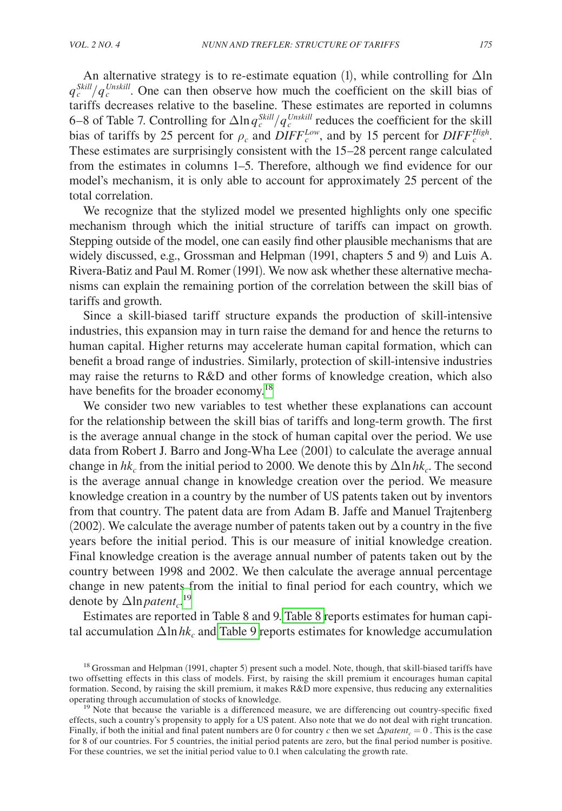An alternative strategy is to re-estimate equation (1), while controlling for  $\Delta$ ln  $q_c^{Skill}/q_c^{Unskill}$ . One can then observe how much the coefficient on the skill bias of tariffs decreases relative to the baseline. These estimates are reported in columns 6–8 of Table 7. Controlling for  $\Delta \ln q_c^{Still}/q_c^{Unskill}$  reduces the coefficient for the skill bias of tariffs by 25 percent for  $\rho_c$  and *DIFF*<sup>*Low*</sup>, and by 15 percent for *DIFF*<sup>*High*</sup>. These estimates are surprisingly consistent with the 15–28 percent range calculated from the estimates in columns 1–5. Therefore, although we find evidence for our model's mechanism, it is only able to account for approximately 25 percent of the total correlation.

We recognize that the stylized model we presented highlights only one specific mechanism through which the initial structure of tariffs can impact on growth. Stepping outside of the model, one can easily find other plausible mechanisms that are widely discussed, e.g., Grossman and Helpman (1991, chapters 5 and 9) and Luis A. Rivera-Batiz and Paul M. Romer (1991). We now ask whether these alternative mechanisms can explain the remaining portion of the correlation between the skill bias of tariffs and growth.

Since a skill-biased tariff structure expands the production of skill-intensive industries, this expansion may in turn raise the demand for and hence the returns to human capital. Higher returns may accelerate human capital formation, which can benefit a broad range of industries. Similarly, protection of skill-intensive industries may raise the returns to R&D and other forms of knowledge creation, which also have benefits for the broader economy.<sup>[18](#page-17-0)</sup>

We consider two new variables to test whether these explanations can account for the relationship between the skill bias of tariffs and long-term growth. The first is the average annual change in the stock of human capital over the period. We use data from Robert J. Barro and Jong-Wha Lee (2001) to calculate the average annual change in  $hk_c$  from the initial period to 2000. We denote this by  $\Delta \ln hk_c$ . The second is the average annual change in knowledge creation over the period. We measure knowledge creation in a country by the number of US patents taken out by inventors from that country. The patent data are from Adam B. Jaffe and Manuel Trajtenberg (2002). We calculate the average number of patents taken out by a country in the five years before the initial period. This is our measure of initial knowledge creation. Final knowledge creation is the average annual number of patents taken out by the country between 1998 and 2002. We then calculate the average annual percentage change in new patents from the initial to final period for each country, which we denote by  $\Delta$ ln *patent<sub>c</sub>*.<sup>[19](#page-17-1)</sup>

Estimates are reported in Table 8 and 9. [Table 8](#page-18-0) reports estimates for human capital accumulation  $\Delta \ln hk_c$  and [Table 9](#page-19-0) reports estimates for knowledge accumulation

<span id="page-17-0"></span><sup>18</sup> Grossman and Helpman (1991, chapter 5) present such a model. Note, though, that skill-biased tariffs have two offsetting effects in this class of models. First, by raising the skill premium it encourages human capital formation. Second, by raising the skill premium, it makes R&D more expensive, thus reducing any externalities operating through accumulation of stocks of knowledge.<br><sup>19</sup> Note that because the variable is a differenced measure, we are differencing out country-specific fixed

<span id="page-17-1"></span>effects, such a country's propensity to apply for a US patent. Also note that we do not deal with right truncation. Finally, if both the initial and final patent numbers are 0 for country *c* then we set  $\Delta$ *patent<sub>c</sub>* = 0. This is the case for 8 of our countries. For 5 countries, the initial period patents are zero, but the final period number is positive. For these countries, we set the initial period value to 0.1 when calculating the growth rate.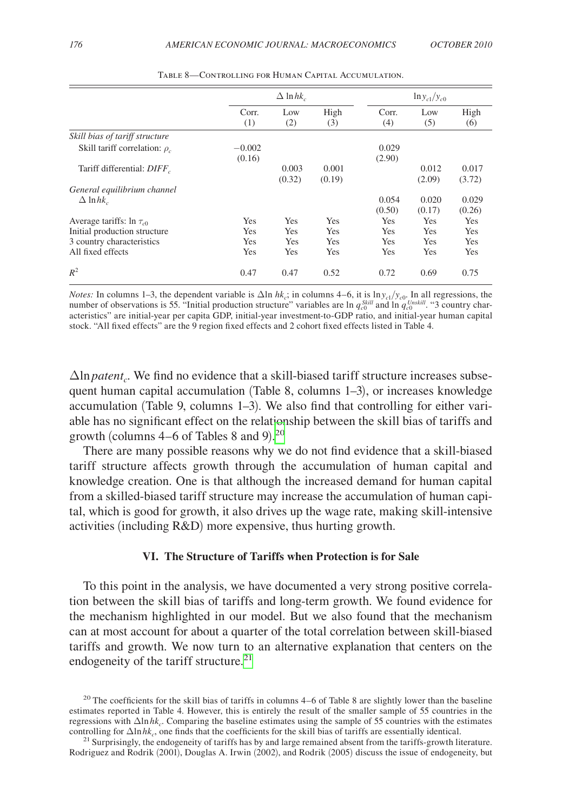<span id="page-18-0"></span>

|                                                   |                    | $\Delta$ ln $hk_c$ |                 |                 | $\ln y_{c1}/y_{c0}$ |                 |  |
|---------------------------------------------------|--------------------|--------------------|-----------------|-----------------|---------------------|-----------------|--|
|                                                   | Corr.<br>(1)       | Low<br>(2)         | High<br>(3)     | Corr.<br>(4)    | Low<br>(5)          | High<br>(6)     |  |
| Skill bias of tariff structure                    |                    |                    |                 |                 |                     |                 |  |
| Skill tariff correlation: $\rho_c$                | $-0.002$<br>(0.16) |                    |                 | 0.029<br>(2.90) |                     |                 |  |
| Tariff differential: DIFF                         |                    | 0.003<br>(0.32)    | 0.001<br>(0.19) |                 | 0.012<br>(2.09)     | 0.017<br>(3.72) |  |
| General equilibrium channel<br>$\Delta$ ln $hk_c$ |                    |                    |                 | 0.054<br>(0.50) | 0.020<br>(0.17)     | 0.029<br>(0.26) |  |
| Average tariffs: $\ln \tau_{c0}$                  | Yes                | Yes                | Yes             | <b>Yes</b>      | Yes                 | Yes             |  |
| Initial production structure                      | <b>Yes</b>         | Yes                | <b>Yes</b>      | <b>Yes</b>      | <b>Yes</b>          | Yes             |  |
| 3 country characteristics                         | <b>Yes</b>         | <b>Yes</b>         | <b>Yes</b>      | <b>Yes</b>      | Yes                 | Yes             |  |
| All fixed effects                                 | Yes                | Yes                | Yes             | Yes             | Yes                 | Yes             |  |
| $R^2$                                             | 0.47               | 0.47               | 0.52            | 0.72            | 0.69                | 0.75            |  |

*Notes:* In columns 1–3, the dependent variable is  $\Delta \ln hk_c$ ; in columns 4–6, it is  $\ln y_{c1}/y_{c0}$ . In all regressions, the number of observations is 55. "Initial production structure" variables are ln  $q_{\text{col}}^{Skil}$  and ln  $q_{\text{col}}^{Unskill}$ . "3 country characteristics" are initial-year per capita GDP, initial-year investment-to-GDP ratio, and initial-year human capital stock. "All fixed effects" are the 9 region fixed effects and 2 cohort fixed effects listed in Table 4.

 $\Delta$ ln *patent<sub>c</sub>*. We find no evidence that a skill-biased tariff structure increases subsequent human capital accumulation (Table 8, columns 1–3), or increases knowledge accumulation (Table 9, columns 1–3). We also find that controlling for either variable has no significant effect on the relationship between the skill bias of tariffs and growth (columns 4–6 of Tables 8 and 9). [20](#page-18-1)

There are many possible reasons why we do not find evidence that a skill-biased tariff structure affects growth through the accumulation of human capital and knowledge creation. One is that although the increased demand for human capital from a skilled-biased tariff structure may increase the accumulation of human capital, which is good for growth, it also drives up the wage rate, making skill-intensive activities (including R&D) more expensive, thus hurting growth.

#### **VI. The Structure of Tariffs when Protection is for Sale**

To this point in the analysis, we have documented a very strong positive correlation between the skill bias of tariffs and long-term growth. We found evidence for the mechanism highlighted in our model. But we also found that the mechanism can at most account for about a quarter of the total correlation between skill-biased tariffs and growth. We now turn to an alternative explanation that centers on the endogeneity of the tariff structure.<sup>[21](#page-18-2)</sup>

<span id="page-18-1"></span> $20$  The coefficients for the skill bias of tariffs in columns  $4-6$  of Table 8 are slightly lower than the baseline estimates reported in Table 4. However, this is entirely the result of the smaller sample of 55 countries in the regressions with  $Δln h k_c$ . Comparing the baseline estimates using the sample of 55 countries with the estimates controlling for  $Δln h k_c$ , one finds that the coefficients for the skill bias of tariffs are essentially identi

<span id="page-18-2"></span><sup>&</sup>lt;sup>21</sup> Surprisingly, the endogeneity of tariffs has by and large remained absent from the tariffs-growth literature. Rodriguez and Rodrik (2001), Douglas A. Irwin (2002), and Rodrik (2005) discuss the issue of endogeneity, but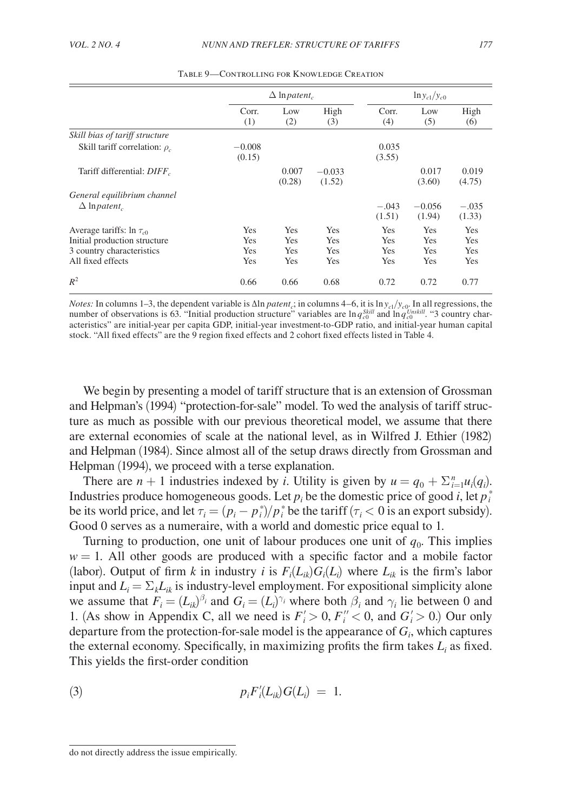<span id="page-19-0"></span>

|                                                                                                                    |                          | $\Delta$ ln patent              |                          |                                               | $\ln y_{c}$ / $y_{c}$    |                          |
|--------------------------------------------------------------------------------------------------------------------|--------------------------|---------------------------------|--------------------------|-----------------------------------------------|--------------------------|--------------------------|
|                                                                                                                    | Corr.<br>(1)             | Low<br>(2)                      | High<br>(3)              | Corr.<br>(4)                                  | Low<br>(5)               | High<br>(6)              |
| Skill bias of tariff structure                                                                                     |                          |                                 |                          |                                               |                          |                          |
| Skill tariff correlation: $\rho_c$                                                                                 | $-0.008$<br>(0.15)       |                                 |                          | 0.035<br>(3.55)                               |                          |                          |
| Tariff differential: <i>DIFF</i>                                                                                   |                          | 0.007<br>(0.28)                 | $-0.033$<br>(1.52)       |                                               | 0.017<br>(3.60)          | 0.019<br>(4.75)          |
| General equilibrium channel<br>$\Delta$ ln patent                                                                  |                          |                                 |                          | $-.043$<br>(1.51)                             | $-0.056$<br>(1.94)       | $-.035$<br>(1.33)        |
| Average tariffs: $\ln \tau_{c0}$<br>Initial production structure<br>3 country characteristics<br>All fixed effects | Yes<br>Yes<br>Yes<br>Yes | Yes<br><b>Yes</b><br>Yes<br>Yes | Yes<br>Yes<br>Yes<br>Yes | <b>Yes</b><br><b>Yes</b><br><b>Yes</b><br>Yes | Yes<br>Yes<br>Yes<br>Yes | Yes<br>Yes<br>Yes<br>Yes |
| $R^2$                                                                                                              | 0.66                     | 0.66                            | 0.68                     | 0.72                                          | 0.72                     | 0.77                     |

Table 9—Controlling for Knowledge Creation

*Notes:* In columns 1–3, the dependent variable is Δln *patent<sub>c</sub>*; in columns 4–6, it is ln *y<sub>cl</sub>/y<sub>c</sub>*0. In all regressions, the number of observations is 63. "Initial production structure" variables are  $\ln q_{\text{c}0}^{kill}$  and  $\ln q_{\text{c}0}^{Jwhill}$ ."3 country characteristics" are initial-year per capita GDP, initial-year investment-to-GDP ratio, and initial-year human capital stock. "All fixed effects" are the 9 region fixed effects and 2 cohort fixed effects listed in Table 4.

We begin by presenting a model of tariff structure that is an extension of Grossman and Helpman's (1994) "protection-for-sale" model. To wed the analysis of tariff structure as much as possible with our previous theoretical model, we assume that there are external economies of scale at the national level, as in Wilfred J. Ethier (1982) and Helpman (1984). Since almost all of the setup draws directly from Grossman and Helpman (1994), we proceed with a terse explanation.

There are  $n + 1$  industries indexed by *i*. Utility is given by  $u = q_0 + \sum_{i=1}^{n} u_i(q_i)$ . Industries produce homogeneous goods. Let  $p_i$  be the domestic price of good *i*, let  $p_i^*$ be its world price, and let  $\tau_i = (p_i - p_i^*)/p_i^*$  be the tariff  $(\tau_i < 0$  is an export subsidy). Good 0 serves as a numeraire, with a world and domestic price equal to 1.

Turning to production, one unit of labour produces one unit of  $q_0$ . This implies  $w = 1$ . All other goods are produced with a specific factor and a mobile factor (labor). Output of firm *k* in industry *i* is  $F_i(L_i)G_i(L_i)$  where  $L_{ik}$  is the firm's labor input and  $L_i = \sum_k L_{ik}$  is industry-level employment. For expositional simplicity alone we assume that  $F_i = (L_{ik})^{\beta_i}$  and  $G_i = (L_i)^{\gamma_i}$  where both  $\beta_i$  and  $\gamma_i$  lie between 0 and 1. (As show in Appendix C, all we need is  $F_i' > 0$ ,  $F_i'' < 0$ , and  $G_i' > 0$ .) Our only departure from the protection-for-sale model is the appearance of  $G_i$ , which captures the external economy. Specifically, in maximizing profits the firm takes  $L_i$  as fixed. This yields the first-order condition

$$
p_i F_i'(L_{ik}) G(L_i) = 1.
$$

do not directly address the issue empirically.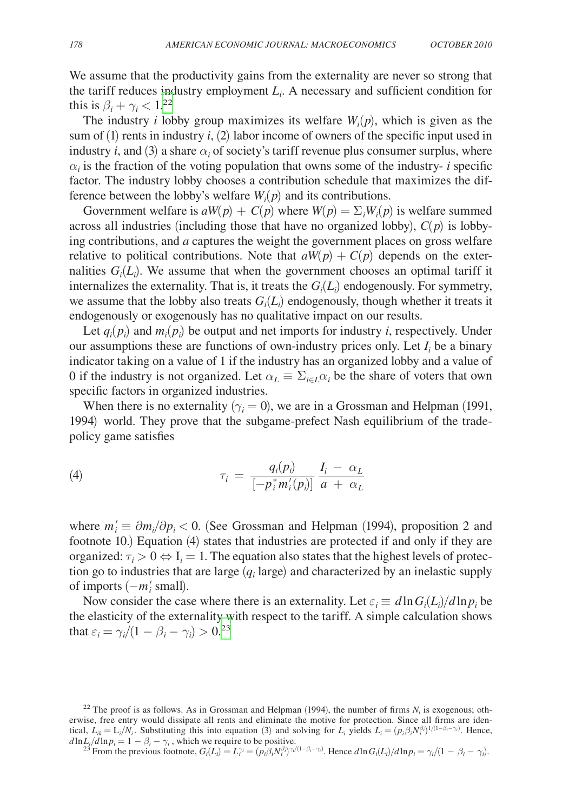We assume that the productivity gains from the externality are never so strong that the tariff reduces industry employment  $L_i$ . A necessary and sufficient condition for this is  $\beta_i + \gamma_i < 1^{22}$ 

The industry *i* lobby group maximizes its welfare  $W_i(p)$ , which is given as the sum of  $(1)$  rents in industry *i*,  $(2)$  labor income of owners of the specific input used in industry *i*, and (3) a share  $\alpha_i$  of society's tariff revenue plus consumer surplus, where  $\alpha_i$  is the fraction of the voting population that owns some of the industry- *i* specific factor. The industry lobby chooses a contribution schedule that maximizes the difference between the lobby's welfare  $W_i(p)$  and its contributions.

Government welfare is  $aW(p) + C(p)$  where  $W(p) = \sum_i W_i(p)$  is welfare summed across all industries (including those that have no organized lobby),  $C(p)$  is lobbying contributions, and *a* captures the weight the government places on gross welfare relative to political contributions. Note that  $aW(p) + C(p)$  depends on the externalities  $G_i(L_i)$ . We assume that when the government chooses an optimal tariff it internalizes the externality. That is, it treats the  $G_i(L_i)$  endogenously. For symmetry, we assume that the lobby also treats  $G_i(L_i)$  endogenously, though whether it treats it endogenously or exogenously has no qualitative impact on our results.

Let  $q_i(p_i)$  and  $m_i(p_i)$  be output and net imports for industry *i*, respectively. Under our assumptions these are functions of own-industry prices only. Let  $I_i$  be a binary indicator taking on a value of 1 if the industry has an organized lobby and a value of 0 if the industry is not organized. Let  $\alpha_L \equiv \sum_{i \in L} \alpha_i$  be the share of voters that own specific factors in organized industries.

When there is no externality ( $\gamma_i = 0$ ), we are in a Grossman and Helpman (1991, 1994) world. They prove that the subgame-prefect Nash equilibrium of the trade-<br>policy game satisfies<br>  $\tau_i = \frac{q_i(p_i)}{[-p_i^* m_i'(p_i)]} \frac{I_i - \alpha_L}{a + \alpha_L}$ policy game satisfies

policy game satisfies  
\n(4) 
$$
\tau_i = \frac{q_i(p_i)}{\left[-p_i^* m_i'(p_i)\right]} \frac{I_i - \alpha_L}{a + \alpha_L}
$$

where  $m'_i \equiv \partial m_i / \partial p_i < 0$ . (See Grossman and Helpman (1994), proposition 2 and footnote 10.) Equation (4) states that industries are protected if and only if they are organized:  $\tau_i > 0 \Leftrightarrow I_i = 1$ . The equation also states that the highest levels of protection go to industries that are large  $(q<sub>i</sub>$  large) and characterized by an inelastic supply of imports (−*m'<sub>i</sub>* small).

Now consider the case where there is an externality. Let  $\varepsilon_i \equiv d \ln G_i(L_i)/d \ln p_i$  be the elasticity of the externality with respect to the tariff. A simple calculation shows that  $\varepsilon_i = \gamma_i/(1 - \beta_i - \gamma_i) > 0.23$  $\varepsilon_i = \gamma_i/(1 - \beta_i - \gamma_i) > 0.23$ 

<span id="page-20-1"></span>

<span id="page-20-0"></span><sup>&</sup>lt;sup>22</sup> The proof is as follows. As in Grossman and Helpman (1994), the number of firms  $N_i$  is exogenous; otherwise, free entry would dissipate all rents and eliminate the motive for protection. Since all firms are identical,  $L_{ik} = L_i/N_i$ . Substituting this into equation (3) and solving for  $L_i$  yields  $L_i = (p_i \beta_i N_i^{\beta_i})^{1/(1-\beta_i-\gamma_i)}$ . Hence,  $d\ln L_i/d\ln p_i = 1 - \beta_i - \gamma_i$ , which we require to be positive.<br><sup>23</sup> From the previous footnote,  $G_i(L_i) = L_i^{\gamma_i} = (p_i \beta_i N_i^{\beta_i})^{\gamma_i/(1-\beta_i-\gamma_i)}$ . Hence  $d\ln G_i(L_i)/d\ln p_i = \gamma_i/(1 - \beta_i - \gamma_i)$ .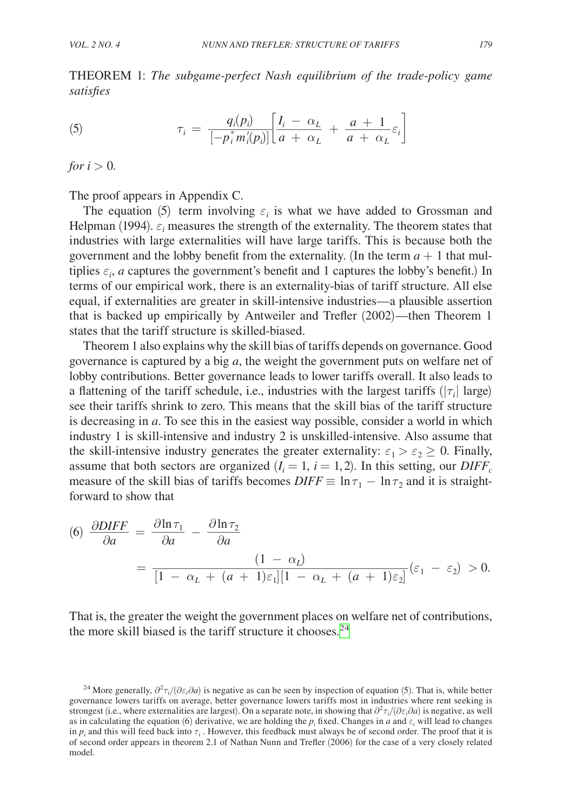THEOREM 1: *The subgame-perfect Nash equilibrium of the trade-policy game*<br>
satisfies<br>
(5)  $\tau_i = \frac{q_i(p_i)}{\left[-p_i^* m_i'(p_i)\right]} \left[\frac{I_i - \alpha_L}{a + \alpha_L} + \frac{a + 1}{a + \alpha_L} \varepsilon_i\right]$ <br>
for  $i > 0$ . *satisfies*

satisfies  
\n(5) 
$$
\tau_i = \frac{q_i(p_i)}{\left[-p_i^* m_i'(p_i)\right]} \left[\frac{I_i - \alpha_L}{a + \alpha_L} + \frac{a + 1}{a + \alpha_L} \varepsilon_i\right]
$$

*for*  $i > 0$ *.* 

The proof appears in Appendix C.

The equation (5) term involving  $\varepsilon_i$  is what we have added to Grossman and Helpman (1994).  $\varepsilon_i$  measures the strength of the externality. The theorem states that industries with large externalities will have large tariffs. This is because both the government and the lobby benefit from the externality. (In the term  $a + 1$  that multiplies  $\varepsilon_i$ , *a* captures the government's benefit and 1 captures the lobby's benefit.) In terms of our empirical work, there is an externality-bias of tariff structure. All else equal, if externalities are greater in skill-intensive industries—a plausible assertion that is backed up empirically by Antweiler and Trefler (2002)—then Theorem 1 states that the tariff structure is skilled-biased.

Theorem 1 also explains why the skill bias of tariffs depends on governance. Good governance is captured by a big *a*, the weight the government puts on welfare net of lobby contributions. Better governance leads to lower tariffs overall. It also leads to a flattening of the tariff schedule, i.e., industries with the largest tariffs ( $|\tau_i|$  large) see their tariffs shrink to zero. This means that the skill bias of the tariff structure is decreasing in *a*. To see this in the easiest way possible, consider a world in which industry 1 is skill-intensive and industry 2 is unskilled-intensive. Also assume that the skill-intensive industry generates the greater externality:  $\varepsilon_1 > \varepsilon_2 \geq 0$ . Finally, assume that both sectors are organized  $(I_i = 1, i = 1, 2)$ . In this setting, our *DIFF<sub>c</sub>* measure of the skill bias of tariffs becomes  $DIFF \equiv \ln \tau_1 - \ln \tau_2$  and it is straight-

forward to show that  
\n(6) 
$$
\frac{\partial DIFF}{\partial a} = \frac{\partial \ln \tau_1}{\partial a} - \frac{\partial \ln \tau_2}{\partial a}
$$
\n
$$
= \frac{(1 - \alpha_L)}{[1 - \alpha_L + (a + 1)\varepsilon_1][1 - \alpha_L + (a + 1)\varepsilon_2]} (\varepsilon_1 - \varepsilon_2) > 0.
$$

That is, the greater the weight the government places on welfare net of contributions, the more skill biased is the tariff structure it chooses.<sup>[24](#page-21-0)</sup>

<span id="page-21-0"></span><sup>&</sup>lt;sup>24</sup> More generally,  $\partial^2 \tau_i/(\partial \varepsilon_i \partial a)$  is negative as can be seen by inspection of equation (5). That is, while better governance lowers tariffs on average, better governance lowers tariffs most in industries where rent seeking is strongest (i.e., where externalities are largest). On a separate note, in showing that ∂<sup>2</sup> τ*i* /(∂ε*i*∂*a*) is negative, as well as in calculating the equation (6) derivative, we are holding the  $p_i$  fixed. Changes in *a* and  $\varepsilon_i$  will lead to changes in  $p_i$  and this will feed back into  $\tau_i$ . However, this feedback must always be of second order. The proof that it is of second order appears in theorem 2.1 of Nathan Nunn and Trefler (2006) for the case of a very closely related model.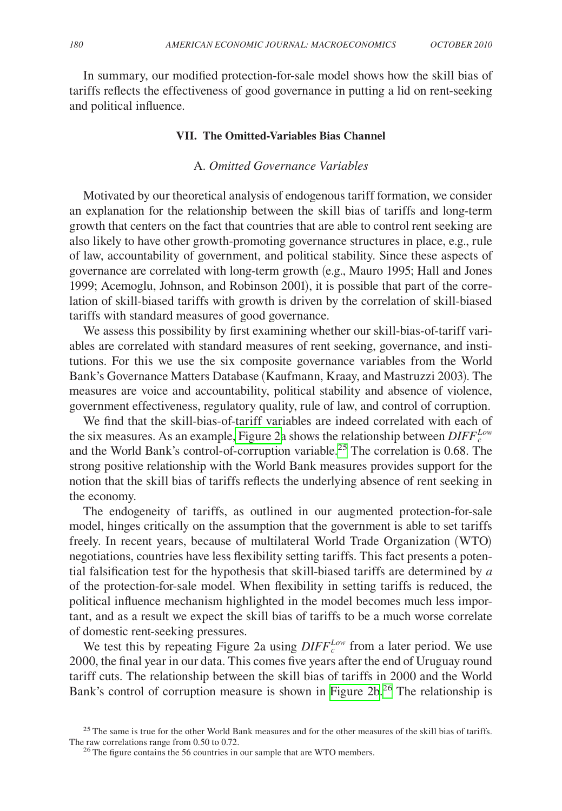<span id="page-22-0"></span>In summary, our modified protection-for-sale model shows how the skill bias of tariffs reflects the effectiveness of good governance in putting a lid on rent-seeking and political influence.

### **VII. The Omitted-Variables Bias Channel**

### A. *Omitted Governance Variables*

Motivated by our theoretical analysis of endogenous tariff formation, we consider an explanation for the relationship between the skill bias of tariffs and long-term growth that centers on the fact that countries that are able to control rent seeking are also likely to have other growth-promoting governance structures in place, e.g., rule of law, accountability of government, and political stability. Since these aspects of governance are correlated with long-term growth (e.g., Mauro 1995; Hall and Jones 1999; Acemoglu, Johnson, and Robinson 2001), it is possible that part of the correlation of skill-biased tariffs with growth is driven by the correlation of skill-biased tariffs with standard measures of good governance.

We assess this possibility by first examining whether our skill-bias-of-tariff variables are correlated with standard measures of rent seeking, governance, and institutions. For this we use the six composite governance variables from the World Bank's Governance Matters Database (Kaufmann, Kraay, and Mastruzzi 2003). The measures are voice and accountability, political stability and absence of violence, government effectiveness, regulatory quality, rule of law, and control of corruption.

We find that the skill-bias-of-tariff variables are indeed correlated with each of the six measures. As an example, [Figure 2a](#page-23-0) shows the relationship between  $\text{DIFF}_c^{Low}$ and the World Bank's control-of-corruption variable.<sup>25</sup> The correlation is 0.68. The strong positive relationship with the World Bank measures provides support for the notion that the skill bias of tariffs reflects the underlying absence of rent seeking in the economy.

The endogeneity of tariffs, as outlined in our augmented protection-for-sale model, hinges critically on the assumption that the government is able to set tariffs freely. In recent years, because of multilateral World Trade Organization (WTO) negotiations, countries have less flexibility setting tariffs. This fact presents a potential falsification test for the hypothesis that skill-biased tariffs are determined by *a* of the protection-for-sale model. When flexibility in setting tariffs is reduced, the political influence mechanism highlighted in the model becomes much less important, and as a result we expect the skill bias of tariffs to be a much worse correlate of domestic rent-seeking pressures.

We test this by repeating Figure 2a using  $DIFF_c^{Low}$  from a later period. We use 2000, the final year in our data. This comes five years after the end of Uruguay round tariff cuts. The relationship between the skill bias of tariffs in 2000 and the World Bank's control of corruption measure is shown in Figure  $2b$ .<sup>[26](#page-22-2)</sup> The relationship is

<span id="page-22-1"></span><sup>&</sup>lt;sup>25</sup> The same is true for the other World Bank measures and for the other measures of the skill bias of tariffs. The raw correlations range from 0.50 to 0.72.

<span id="page-22-2"></span> $26$  The figure contains the 56 countries in our sample that are WTO members.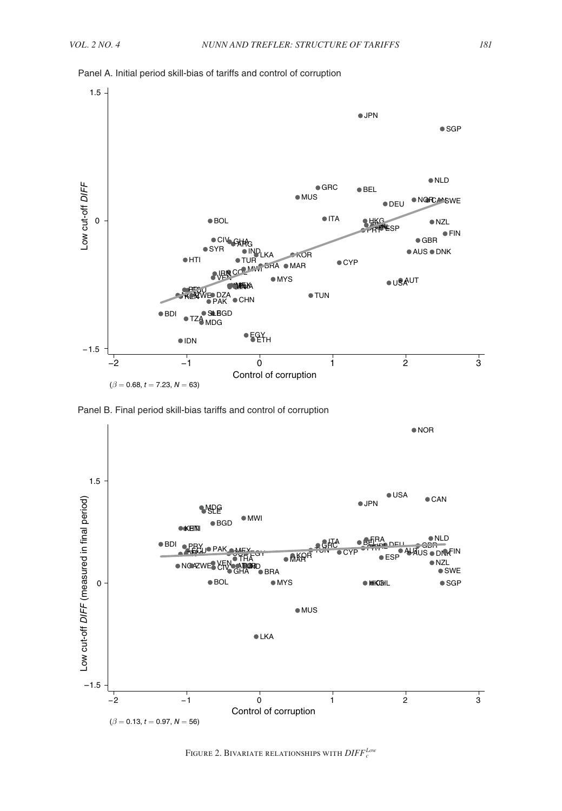<span id="page-23-0"></span>

Panel B. Final period skill-bias tariffs and control of corruption



FIGURE 2. BIVARIATE RELATIONSHIPS WITH  $\mathit{DIFF}^{Low}_c$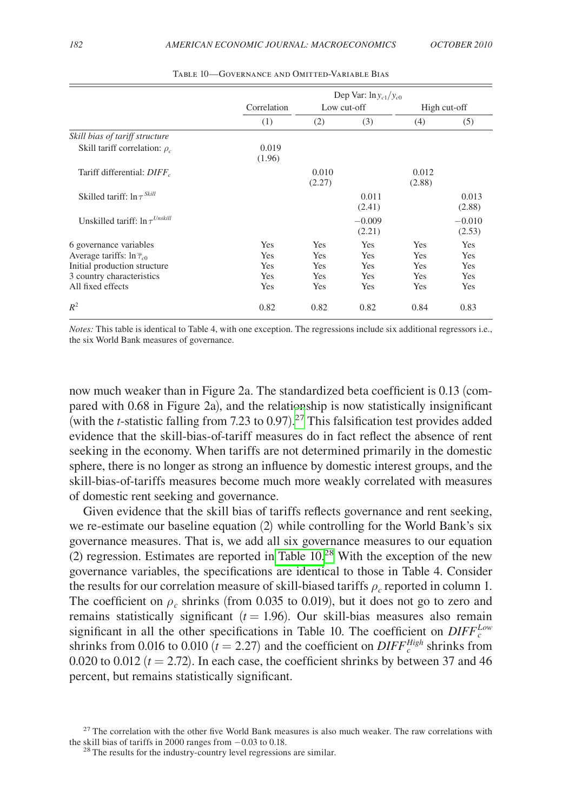|                                             |                 |                 | Dep Var: $\ln y_{c1}/y_{c0}$ |                 |                    |
|---------------------------------------------|-----------------|-----------------|------------------------------|-----------------|--------------------|
|                                             | Correlation     |                 | Low cut-off                  |                 | High cut-off       |
|                                             | (1)             | (2)             | (3)                          | (4)             | (5)                |
| Skill bias of tariff structure              |                 |                 |                              |                 |                    |
| Skill tariff correlation: $\rho_c$          | 0.019<br>(1.96) |                 |                              |                 |                    |
| Tariff differential: DIFF                   |                 | 0.010<br>(2.27) |                              | 0.012<br>(2.88) |                    |
| Skilled tariff: $\ln \tau^{Skill}$          |                 |                 | 0.011<br>(2.41)              |                 | 0.013<br>(2.88)    |
| Unskilled tariff: $\ln \tau^{Unskill}$      |                 |                 | $-0.009$<br>(2.21)           |                 | $-0.010$<br>(2.53) |
| 6 governance variables                      | <b>Yes</b>      | Yes             | Yes                          | Yes             | Yes                |
| Average tariffs: $\ln \overline{\tau}_{c0}$ | Yes             | Yes             | Yes                          | Yes             | <b>Yes</b>         |
| Initial production structure                | <b>Yes</b>      | <b>Yes</b>      | <b>Yes</b>                   | <b>Yes</b>      | Yes                |
| 3 country characteristics                   | <b>Yes</b>      | <b>Yes</b>      | <b>Yes</b>                   | <b>Yes</b>      | <b>Yes</b>         |
| All fixed effects                           | Yes             | Yes             | Yes                          | Yes             | Yes                |
| $R^2$                                       | 0.82            | 0.82            | 0.82                         | 0.84            | 0.83               |

Table 10—Governance and Omitted-Variable Bias

*Notes:* This table is identical to Table 4, with one exception. The regressions include six additional regressors i.e., the six World Bank measures of governance.

now much weaker than in Figure 2a. The standardized beta coefficient is 0.13 (compared with 0.68 in Figure 2a), and the relationship is now statistically insignificant (with the *t*-statistic falling from 7.23 to 0.97). [27](#page-24-0) This falsification test provides added evidence that the skill-bias-of-tariff measures do in fact reflect the absence of rent seeking in the economy. When tariffs are not determined primarily in the domestic sphere, there is no longer as strong an influence by domestic interest groups, and the skill-bias-of-tariffs measures become much more weakly correlated with measures of domestic rent seeking and governance.

Given evidence that the skill bias of tariffs reflects governance and rent seeking, we re-estimate our baseline equation (2) while controlling for the World Bank's six governance measures. That is, we add all six governance measures to our equation (2) regression. Estimates are reported in Table  $10<sup>28</sup>$  With the exception of the new governance variables, the specifications are identical to those in Table 4. Consider the results for our correlation measure of skill-biased tariffs  $\rho_c$  reported in column 1. The coefficient on  $\rho_c$  shrinks (from 0.035 to 0.019), but it does not go to zero and remains statistically significant  $(t = 1.96)$ . Our skill-bias measures also remain significant in all the other specifications in Table 10. The coefficient on  $DIFF_c^{Low}$ shrinks from 0.016 to 0.010 ( $t = 2.27$ ) and the coefficient on  $DIFF_c^{High}$  shrinks from 0.020 to 0.012  $(t = 2.72)$ . In each case, the coefficient shrinks by between 37 and 46 percent, but remains statistically significant.

<span id="page-24-0"></span><sup>&</sup>lt;sup>27</sup> The correlation with the other five World Bank measures is also much weaker. The raw correlations with the skill bias of tariffs in 2000 ranges from  $-0.03$  to 0.18.

<span id="page-24-1"></span> $28$  The results for the industry-country level regressions are similar.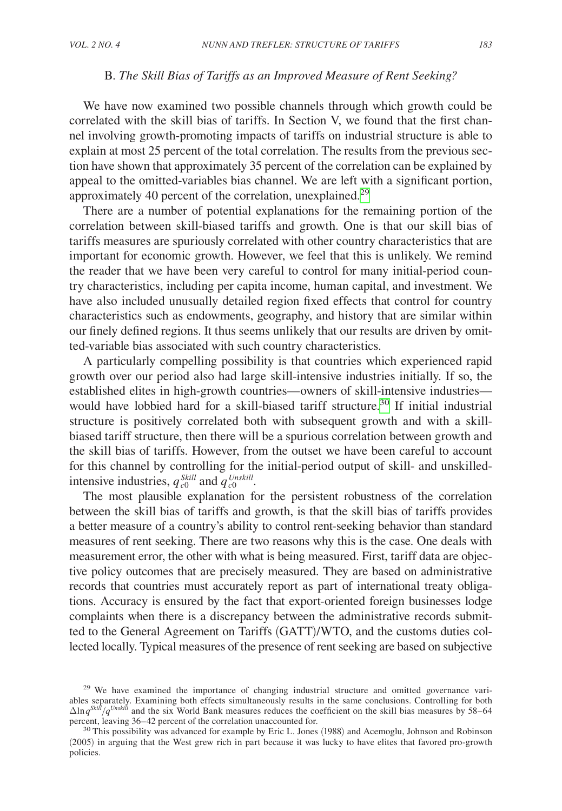### B. *The Skill Bias of Tariffs as an Improved Measure of Rent Seeking?*

<span id="page-25-0"></span>We have now examined two possible channels through which growth could be correlated with the skill bias of tariffs. In Section V, we found that the first channel involving growth-promoting impacts of tariffs on industrial structure is able to explain at most 25 percent of the total correlation. The results from the previous section have shown that approximately 35 percent of the correlation can be explained by appeal to the omitted-variables bias channel. We are left with a significant portion, approximately 40 percent of the correlation, unexplained.[29](#page-25-1)

There are a number of potential explanations for the remaining portion of the correlation between skill-biased tariffs and growth. One is that our skill bias of tariffs measures are spuriously correlated with other country characteristics that are important for economic growth. However, we feel that this is unlikely. We remind the reader that we have been very careful to control for many initial-period country characteristics, including per capita income, human capital, and investment. We have also included unusually detailed region fixed effects that control for country characteristics such as endowments, geography, and history that are similar within our finely defined regions. It thus seems unlikely that our results are driven by omitted-variable bias associated with such country characteristics.

A particularly compelling possibility is that countries which experienced rapid growth over our period also had large skill-intensive industries initially. If so, the established elites in high-growth countries—owners of skill-intensive industries would have lobbied hard for a skill-biased tariff structure.<sup>30</sup> If initial industrial structure is positively correlated both with subsequent growth and with a skillbiased tariff structure, then there will be a spurious correlation between growth and the skill bias of tariffs. However, from the outset we have been careful to account for this channel by controlling for the initial-period output of skill- and unskilledintensive industries,  $q_{c0}^{Still}$  and  $q_{c0}^{Unskill}$ .

The most plausible explanation for the persistent robustness of the correlation between the skill bias of tariffs and growth, is that the skill bias of tariffs provides a better measure of a country's ability to control rent-seeking behavior than standard measures of rent seeking. There are two reasons why this is the case. One deals with measurement error, the other with what is being measured. First, tariff data are objective policy outcomes that are precisely measured. They are based on administrative records that countries must accurately report as part of international treaty obligations. Accuracy is ensured by the fact that export-oriented foreign businesses lodge complaints when there is a discrepancy between the administrative records submitted to the General Agreement on Tariffs (GATT)/WTO, and the customs duties collected locally. Typical measures of the presence of rent seeking are based on subjective

<span id="page-25-1"></span><sup>&</sup>lt;sup>29</sup> We have examined the importance of changing industrial structure and omitted governance variables separately. Examining both effects simultaneously results in the same conclusions. Controlling for both  $\Delta \ln q^{Stan} / q^{Unskill}$  and the six World Bank measures reduces the coefficient on the skill bias measures by 58–64 percent, leaving 36–42 percent of the correlation unaccounted for.

<span id="page-25-2"></span><sup>&</sup>lt;sup>30</sup> This possibility was advanced for example by Eric L. Jones (1988) and Acemoglu, Johnson and Robinson (2005) in arguing that the West grew rich in part because it was lucky to have elites that favored pro-growth policies.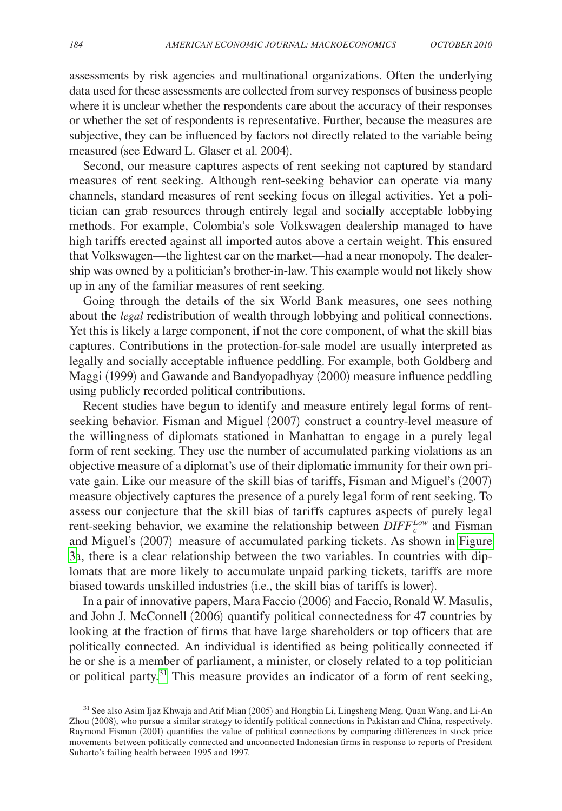assessments by risk agencies and multinational organizations. Often the underlying data used for these assessments are collected from survey responses of business people where it is unclear whether the respondents care about the accuracy of their responses or whether the set of respondents is representative. Further, because the measures are subjective, they can be influenced by factors not directly related to the variable being measured (see Edward L. Glaser et al. 2004).

Second, our measure captures aspects of rent seeking not captured by standard measures of rent seeking. Although rent-seeking behavior can operate via many channels, standard measures of rent seeking focus on illegal activities. Yet a politician can grab resources through entirely legal and socially acceptable lobbying methods. For example, Colombia's sole Volkswagen dealership managed to have high tariffs erected against all imported autos above a certain weight. This ensured that Volkswagen—the lightest car on the market—had a near monopoly. The dealership was owned by a politician's brother-in-law. This example would not likely show up in any of the familiar measures of rent seeking.

Going through the details of the six World Bank measures, one sees nothing about the *legal* redistribution of wealth through lobbying and political connections. Yet this is likely a large component, if not the core component, of what the skill bias captures. Contributions in the protection-for-sale model are usually interpreted as legally and socially acceptable influence peddling. For example, both Goldberg and Maggi (1999) and Gawande and Bandyopadhyay (2000) measure influence peddling using publicly recorded political contributions.

Recent studies have begun to identify and measure entirely legal forms of rentseeking behavior. Fisman and Miguel (2007) construct a country-level measure of the willingness of diplomats stationed in Manhattan to engage in a purely legal form of rent seeking. They use the number of accumulated parking violations as an objective measure of a diplomat's use of their diplomatic immunity for their own private gain. Like our measure of the skill bias of tariffs, Fisman and Miguel's (2007) measure objectively captures the presence of a purely legal form of rent seeking. To assess our conjecture that the skill bias of tariffs captures aspects of purely legal rent-seeking behavior, we examine the relationship between  $\text{DIFF}_c^{\text{Low}}$  and Fisman and Miguel's (2007) measure of accumulated parking tickets. As shown in [Figure](#page-27-0)  [3a](#page-27-0), there is a clear relationship between the two variables. In countries with diplomats that are more likely to accumulate unpaid parking tickets, tariffs are more biased towards unskilled industries (i.e., the skill bias of tariffs is lower).

In a pair of innovative papers, Mara Faccio (2006) and Faccio, Ronald W. Masulis, and John J. McConnell (2006) quantify political connectedness for 47 countries by looking at the fraction of firms that have large shareholders or top officers that are politically connected. An individual is identified as being politically connected if he or she is a member of parliament, a minister, or closely related to a top politician or political party[.31](#page-26-0) This measure provides an indicator of a form of rent seeking,

<span id="page-26-0"></span><sup>&</sup>lt;sup>31</sup> See also Asim Ijaz Khwaja and Atif Mian (2005) and Hongbin Li, Lingsheng Meng, Quan Wang, and Li-An Zhou (2008), who pursue a similar strategy to identify political connections in Pakistan and China, respectively. Raymond Fisman (2001) quantifies the value of political connections by comparing differences in stock price movements between politically connected and unconnected Indonesian firms in response to reports of President Suharto's failing health between 1995 and 1997.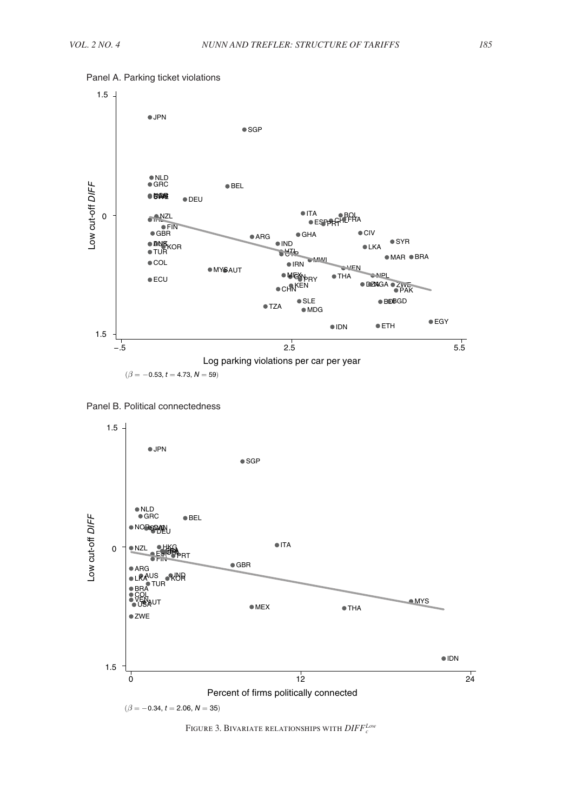<span id="page-27-0"></span>





Figure 3. Bivariate relationships with *Diffc Low*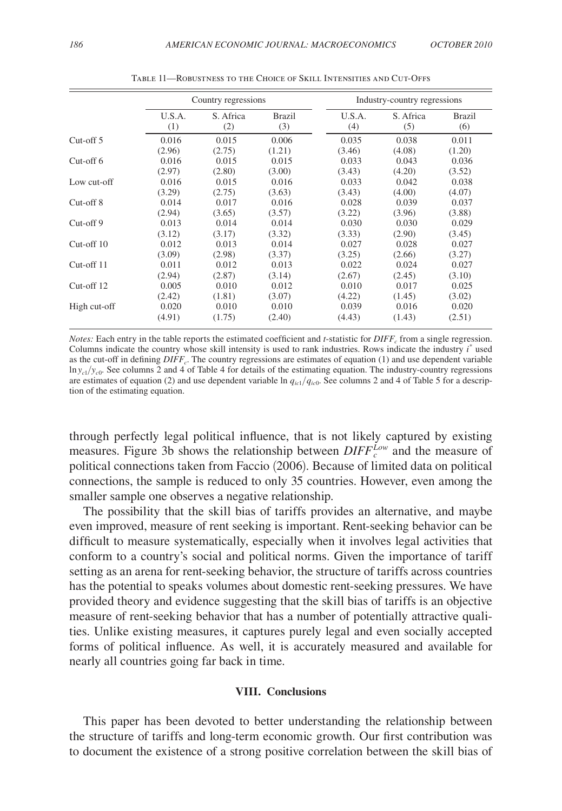<span id="page-28-0"></span>

|              |        | Country regressions |               |        | Industry-country regressions |               |  |  |
|--------------|--------|---------------------|---------------|--------|------------------------------|---------------|--|--|
|              | U.S.A. | S. Africa           | <b>Brazil</b> | U.S.A. | S. Africa                    | <b>Brazil</b> |  |  |
|              | (1)    | (2)                 | (3)           | (4)    | (5)                          | (6)           |  |  |
| Cut-off 5    | 0.016  | 0.015               | 0.006         | 0.035  | 0.038                        | 0.011         |  |  |
| Cut-off $6$  | (2.96) | (2.75)              | (1.21)        | (3.46) | (4.08)                       | (1.20)        |  |  |
|              | 0.016  | 0.015               | 0.015         | 0.033  | 0.043                        | 0.036         |  |  |
| Low cut-off  | (2.97) | (2.80)              | (3.00)        | (3.43) | (4.20)                       | (3.52)        |  |  |
|              | 0.016  | 0.015               | 0.016         | 0.033  | 0.042                        | 0.038         |  |  |
| Cut-off 8    | (3.29) | (2.75)              | (3.63)        | (3.43) | (4.00)                       | (4.07)        |  |  |
|              | 0.014  | 0.017               | 0.016         | 0.028  | 0.039                        | 0.037         |  |  |
| Cut-off 9    | (2.94) | (3.65)              | (3.57)        | (3.22) | (3.96)                       | (3.88)        |  |  |
|              | 0.013  | 0.014               | 0.014         | 0.030  | 0.030                        | 0.029         |  |  |
| $Cut-off 10$ | (3.12) | (3.17)              | (3.32)        | (3.33) | (2.90)                       | (3.45)        |  |  |
|              | 0.012  | 0.013               | 0.014         | 0.027  | 0.028                        | 0.027         |  |  |
|              | (3.09) | (2.98)              | (3.37)        | (3.25) | (2.66)                       | (3.27)        |  |  |
| Cut-off 11   | 0.011  | 0.012               | 0.013         | 0.022  | 0.024                        | 0.027         |  |  |
|              | (2.94) | (2.87)              | (3.14)        | (2.67) | (2.45)                       | (3.10)        |  |  |
| Cut-off 12   | 0.005  | 0.010               | 0.012         | 0.010  | 0.017                        | 0.025         |  |  |
|              | (2.42) | (1.81)              | (3.07)        | (4.22) | (1.45)                       | (3.02)        |  |  |
| High cut-off | 0.020  | 0.010               | 0.010         | 0.039  | 0.016                        | 0.020         |  |  |
|              | (4.91) | (1.75)              | (2.40)        | (4.43) | (1.43)                       | (2.51)        |  |  |

Table 11—Robustness to the Choice of Skill Intensities and Cut-Offs

*Notes:* Each entry in the table reports the estimated coefficient and *t*-statistic for *DIFF<sub>c</sub>* from a single regression. Columns indicate the country whose skill intensity is used to rank industries. Rows indicate the industry *i*<sup>\*</sup> used as the cut-off in defining *DIFFc*. The country regressions are estimates of equation (1) and use dependent variable  $\ln y_{c1}/y_{c0}$ . See columns 2 and 4 of Table 4 for details of the estimating equation. The industry-country regressions are estimates of equation (2) and use dependent variable ln  $q_{ic1}/q_{ic0}$ . See columns 2 and 4 of Table 5 for a description of the estimating equation.

through perfectly legal political influence, that is not likely captured by existing measures. Figure 3b shows the relationship between  $DIFF_c^{Low}$  and the measure of political connections taken from Faccio (2006). Because of limited data on political connections, the sample is reduced to only 35 countries. However, even among the smaller sample one observes a negative relationship.

The possibility that the skill bias of tariffs provides an alternative, and maybe even improved, measure of rent seeking is important. Rent-seeking behavior can be difficult to measure systematically, especially when it involves legal activities that conform to a country's social and political norms. Given the importance of tariff setting as an arena for rent-seeking behavior, the structure of tariffs across countries has the potential to speaks volumes about domestic rent-seeking pressures. We have provided theory and evidence suggesting that the skill bias of tariffs is an objective measure of rent-seeking behavior that has a number of potentially attractive qualities. Unlike existing measures, it captures purely legal and even socially accepted forms of political influence. As well, it is accurately measured and available for nearly all countries going far back in time.

### **VIII. Conclusions**

This paper has been devoted to better understanding the relationship between the structure of tariffs and long-term economic growth. Our first contribution was to document the existence of a strong positive correlation between the skill bias of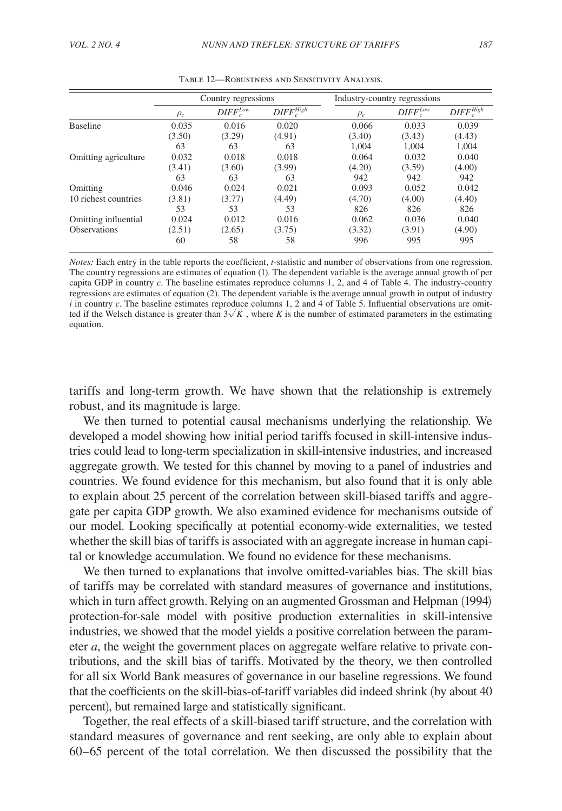<span id="page-29-0"></span>

|                      | Country regressions |                           | Industry-country regressions |          |                         |                 |
|----------------------|---------------------|---------------------------|------------------------------|----------|-------------------------|-----------------|
|                      | $\rho_c$            | $\overline{DIFF}^{Low}_c$ | $DIFF_c^{High}$              | $\rho_c$ | $\mathit{DIFF}^{Low}_c$ | $DIFF_c^{High}$ |
| <b>Baseline</b>      | 0.035               | 0.016                     | 0.020                        | 0.066    | 0.033                   | 0.039           |
|                      | (3.50)              | (3.29)                    | (4.91)                       | (3.40)   | (3.43)                  | (4.43)          |
|                      | 63                  | 63                        | 63                           | 1.004    | 1.004                   | 1.004           |
| Omitting agriculture | 0.032               | 0.018                     | 0.018                        | 0.064    | 0.032                   | 0.040           |
|                      | (3.41)              | (3.60)                    | (3.99)                       | (4.20)   | (3.59)                  | (4.00)          |
|                      | 63                  | 63                        | 63                           | 942      | 942                     | 942             |
| Omitting             | 0.046               | 0.024                     | 0.021                        | 0.093    | 0.052                   | 0.042           |
| 10 richest countries | (3.81)              | (3.77)                    | (4.49)                       | (4.70)   | (4.00)                  | (4.40)          |
|                      | 53                  | 53                        | 53                           | 826      | 826                     | 826             |
| Omitting influential | 0.024               | 0.012                     | 0.016                        | 0.062    | 0.036                   | 0.040           |
| <b>Observations</b>  | (2.51)              | (2.65)                    | (3.75)                       | (3.32)   | (3.91)                  | (4.90)          |
|                      | 60                  | 58                        | 58                           | 996      | 995                     | 995             |

Table 12—Robustness and Sensitivity Analysis.

*Notes:* Each entry in the table reports the coefficient, *t*-statistic and number of observations from one regression. The country regressions are estimates of equation (1). The dependent variable is the average annual growth of per capita GDP in country *c*. The baseline estimates reproduce columns 1, 2, and 4 of Table 4. The industry-country regressions are estimates of equation (2). The dependent variable is the average annual growth in output of industry *i* in country *c*. The baseline estimates reproduce columns 1, 2 and 4 of Table 5. Influential observations are omit-<br>ted if the Welsch distance is greater than  $3\sqrt{K}$ , where K is the number of estimated parameters in ted if the Welsch distance is greater than  $3\sqrt{K}$ , where *K* is the number of estimated parameters in the estimating the diffuse of estimating equation.

tariffs and long-term growth. We have shown that the relationship is extremely robust, and its magnitude is large.

We then turned to potential causal mechanisms underlying the relationship. We developed a model showing how initial period tariffs focused in skill-intensive industries could lead to long-term specialization in skill-intensive industries, and increased aggregate growth. We tested for this channel by moving to a panel of industries and countries. We found evidence for this mechanism, but also found that it is only able to explain about 25 percent of the correlation between skill-biased tariffs and aggregate per capita GDP growth. We also examined evidence for mechanisms outside of our model. Looking specifically at potential economy-wide externalities, we tested whether the skill bias of tariffs is associated with an aggregate increase in human capital or knowledge accumulation. We found no evidence for these mechanisms.

We then turned to explanations that involve omitted-variables bias. The skill bias of tariffs may be correlated with standard measures of governance and institutions, which in turn affect growth. Relying on an augmented Grossman and Helpman (1994) protection-for-sale model with positive production externalities in skill-intensive industries, we showed that the model yields a positive correlation between the parameter *a*, the weight the government places on aggregate welfare relative to private contributions, and the skill bias of tariffs. Motivated by the theory, we then controlled for all six World Bank measures of governance in our baseline regressions. We found that the coefficients on the skill-bias-of-tariff variables did indeed shrink (by about 40 percent), but remained large and statistically significant.

Together, the real effects of a skill-biased tariff structure, and the correlation with standard measures of governance and rent seeking, are only able to explain about 60–65 percent of the total correlation. We then discussed the possibility that the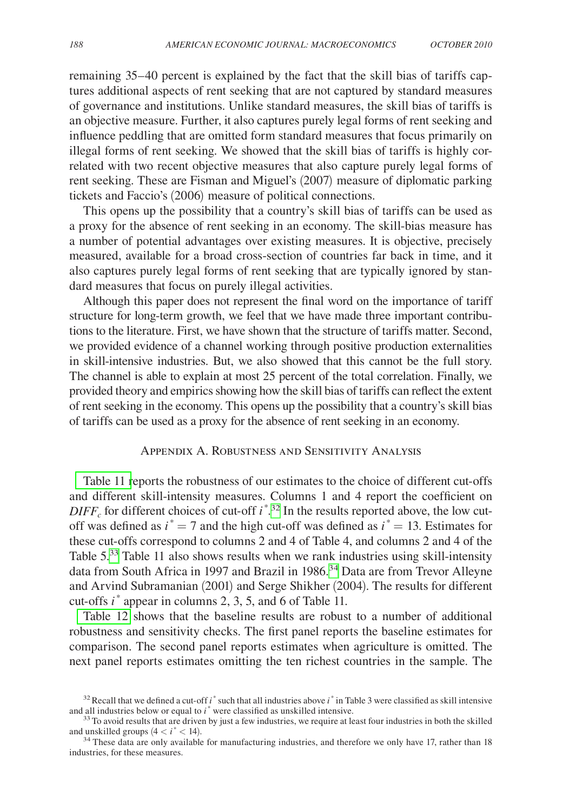<span id="page-30-0"></span>remaining 35–40 percent is explained by the fact that the skill bias of tariffs captures additional aspects of rent seeking that are not captured by standard measures of governance and institutions. Unlike standard measures, the skill bias of tariffs is an objective measure. Further, it also captures purely legal forms of rent seeking and influence peddling that are omitted form standard measures that focus primarily on illegal forms of rent seeking. We showed that the skill bias of tariffs is highly correlated with two recent objective measures that also capture purely legal forms of rent seeking. These are Fisman and Miguel's (2007) measure of diplomatic parking tickets and Faccio's (2006) measure of political connections.

This opens up the possibility that a country's skill bias of tariffs can be used as a proxy for the absence of rent seeking in an economy. The skill-bias measure has a number of potential advantages over existing measures. It is objective, precisely measured, available for a broad cross-section of countries far back in time, and it also captures purely legal forms of rent seeking that are typically ignored by standard measures that focus on purely illegal activities.

Although this paper does not represent the final word on the importance of tariff structure for long-term growth, we feel that we have made three important contributions to the literature. First, we have shown that the structure of tariffs matter. Second, we provided evidence of a channel working through positive production externalities in skill-intensive industries. But, we also showed that this cannot be the full story. The channel is able to explain at most 25 percent of the total correlation. Finally, we provided theory and empirics showing how the skill bias of tariffs can reflect the extent of rent seeking in the economy. This opens up the possibility that a country's skill bias of tariffs can be used as a proxy for the absence of rent seeking in an economy.

### Appendix A. Robustness and Sensitivity Analysis

[Table 11 r](#page-28-0)eports the robustness of our estimates to the choice of different cut-offs and different skill-intensity measures. Columns 1 and 4 report the coefficient on  $DIFF_c$  for different choices of cut-off  $i^*$ <sup>[32](#page-30-1)</sup>. In the results reported above, the low cutoff was defined as  $i^* = 7$  and the high cut-off was defined as  $i^* = 13$ . Estimates for these cut-offs correspond to columns 2 and 4 of Table 4, and columns 2 and 4 of the Table 5.[33](#page-30-2) Table 11 also shows results when we rank industries using skill-intensity data from South Africa in 1997 and Brazil in 1986.<sup>34</sup> Data are from Trevor Alleyne and Arvind Subramanian (2001) and Serge Shikher (2004). The results for different cut-offs *i*<sup>\*</sup> appear in columns 2, 3, 5, and 6 of Table 11.

[Table 12](#page-29-0) shows that the baseline results are robust to a number of additional robustness and sensitivity checks. The first panel reports the baseline estimates for comparison. The second panel reports estimates when agriculture is omitted. The next panel reports estimates omitting the ten richest countries in the sample. The

<span id="page-30-1"></span><sup>&</sup>lt;sup>32</sup> Recall that we defined a cut-off  $i^*$  such that all industries above  $i^*$  in Table 3 were classified as skill intensive and all industries below or equal to  $i^*$  were classified as unskilled intensive.

<span id="page-30-2"></span><sup>&</sup>lt;sup>33</sup> To avoid results that are driven by just a few industries, we require at least four industries in both the skilled and unskilled groups (4 < *i*<sup>\*</sup> < 14).<br><sup>34</sup> These data are only available for manufacturing industries, and therefore we only have 17, rather than 18

<span id="page-30-3"></span>industries, for these measures.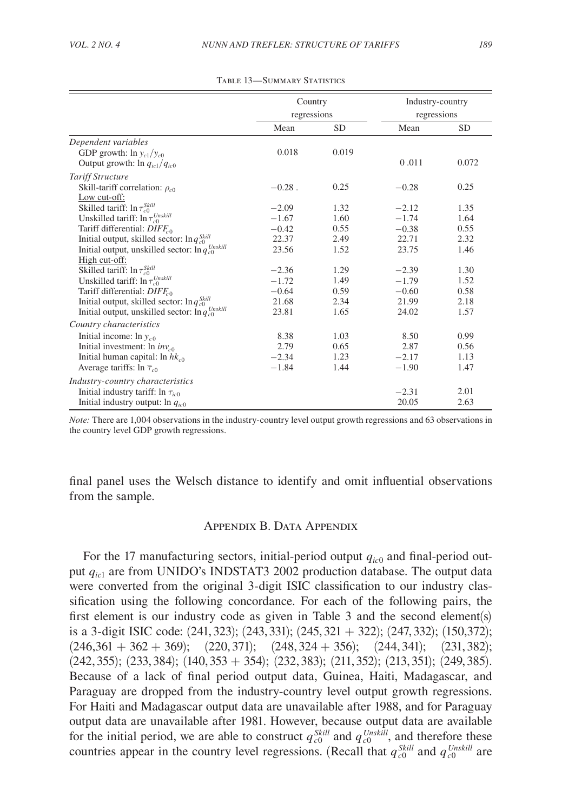<span id="page-31-0"></span>

|                                                          | Country<br>regressions |           | Industry-country<br>regressions |           |
|----------------------------------------------------------|------------------------|-----------|---------------------------------|-----------|
|                                                          |                        |           |                                 |           |
|                                                          | Mean                   | <b>SD</b> | Mean                            | <b>SD</b> |
| Dependent variables                                      |                        |           |                                 |           |
| GDP growth: $\ln y_{c1}/y_{c0}$                          | 0.018                  | 0.019     |                                 |           |
| Output growth: $\ln q_{ic}/q_{ic0}$                      |                        |           | 0.011                           | 0.072     |
| <b>Tariff Structure</b>                                  |                        |           |                                 |           |
| Skill-tariff correlation: $\rho_{c0}$                    | $-0.28$ .              | 0.25      | $-0.28$                         | 0.25      |
| Low cut-off:                                             |                        |           |                                 |           |
| Skilled tariff: $\ln \tau_{c0}^{Still}$                  | $-2.09$                | 1.32      | $-2.12$                         | 1.35      |
| Unskilled tariff: $\ln \tau_{c0}^{Unskill}$              | $-1.67$                | 1.60      | $-1.74$                         | 1.64      |
| Tariff differential: $DIF_{c0}$                          | $-0.42$                | 0.55      | $-0.38$                         | 0.55      |
| Initial output, skilled sector: $\ln q_{c0}^{Still}$     | 22.37                  | 2.49      | 22.71                           | 2.32      |
| Initial output, unskilled sector: $\ln q_{c0}^{Unskill}$ | 23.56                  | 1.52      | 23.75                           | 1.46      |
| High cut-off:                                            |                        |           |                                 |           |
| Skilled tariff: $\ln \tau_{c0}^{Still}$                  | $-2.36$                | 1.29      | $-2.39$                         | 1.30      |
| Unskilled tariff: $\ln \tau_{c0}^{Unskill}$              | $-1.72$                | 1.49      | $-1.79$                         | 1.52      |
| Tariff differential: $DIF_{c0}$                          | $-0.64$                | 0.59      | $-0.60$                         | 0.58      |
| Initial output, skilled sector: $\ln q_{c0}^{Still}$     | 21.68                  | 2.34      | 21.99                           | 2.18      |
| Initial output, unskilled sector: $\ln q_{c0}^{Unskill}$ | 23.81                  | 1.65      | 24.02                           | 1.57      |
| Country characteristics                                  |                        |           |                                 |           |
| Initial income: $\ln y_{c0}$                             | 8.38                   | 1.03      | 8.50                            | 0.99      |
| Initial investment: $\ln inv_{c0}$                       | 2.79                   | 0.65      | 2.87                            | 0.56      |
| Initial human capital: In $hk_{c0}$                      | $-2.34$                | 1.23      | $-2.17$                         | 1.13      |
| Average tariffs: $\ln \overline{\tau}_{c0}$              | $-1.84$                | 1.44      | $-1.90$                         | 1.47      |
| Industry-country characteristics                         |                        |           |                                 |           |
| Initial industry tariff: $\ln \tau_{ic0}$                |                        |           | $-2.31$                         | 2.01      |
| Initial industry output: $\ln q_{ic0}$                   |                        |           | 20.05                           | 2.63      |

Table 13—Summary Statistics

*Note:* There are 1,004 observations in the industry-country level output growth regressions and 63 observations in the country level GDP growth regressions.

final panel uses the Welsch distance to identify and omit influential observations from the sample.

### Appendix B. Data Appendix

For the 17 manufacturing sectors, initial-period output  $q_{ic0}$  and final-period output *qic*1 are from UNIDO's INDSTAT3 2002 production database. The output data were converted from the original 3-digit ISIC classification to our industry classification using the following concordance. For each of the following pairs, the first element is our industry code as given in Table 3 and the second element(s) is a 3-digit ISIC code: (241, 323); (243, 331); (245, 321 + 322); (247,332); (150,372);  $(246,361 + 362 + 369);$   $(220,371);$   $(248,324 + 356);$   $(244,341);$   $(231,382);$ (242,355); (233, 384); (140,353 + 354); (232, 383); (211, 352); (213,351); (249,385). Because of a lack of final period output data, Guinea, Haiti, Madagascar, and Paraguay are dropped from the industry-country level output growth regressions. For Haiti and Madagascar output data are unavailable after 1988, and for Paraguay output data are unavailable after 1981. However, because output data are available for the initial period, we are able to construct  $q_{c0}^{Skill}$  and  $q_{c0}^{Unskill}$ , and therefore these countries appear in the country level regressions. (Recall that  $q_{c0}^{Skill}$  and  $q_{c0}^{Unskill}$  are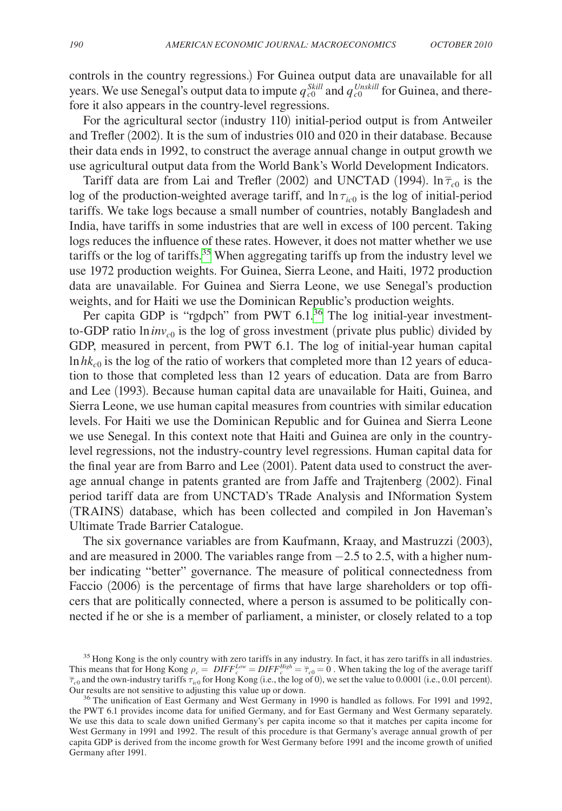controls in the country regressions.) For Guinea output data are unavailable for all years. We use Senegal's output data to impute  $q_{c0}^{Skill}$  and  $q_{c0}^{Unskill}$  for Guinea, and therefore it also appears in the country-level regressions.

For the agricultural sector (industry 110) initial-period output is from Antweiler and Trefler (2002). It is the sum of industries 010 and 020 in their database. Because their data ends in 1992, to construct the average annual change in output growth we use agricultural output data from the World Bank's World Development Indicators.

Tariff data are from Lai and Trefler (2002) and UNCTAD (1994).  $\ln \overline{\tau}_{c0}$  is the log of the production-weighted average tariff, and  $\ln \tau_{ic0}$  is the log of initial-period tariffs. We take logs because a small number of countries, notably Bangladesh and India, have tariffs in some industries that are well in excess of 100 percent. Taking logs reduces the influence of these rates. However, it does not matter whether we use tariffs or the log of tariffs.<sup>35</sup> When aggregating tariffs up from the industry level we use 1972 production weights. For Guinea, Sierra Leone, and Haiti, 1972 production data are unavailable. For Guinea and Sierra Leone, we use Senegal's production weights, and for Haiti we use the Dominican Republic's production weights.

Per capita GDP is "rgdpch" from PWT 6.1.<sup>36</sup> The log initial-year investmentto-GDP ratio  $ln inv_{c0}$  is the log of gross investment (private plus public) divided by GDP, measured in percent, from PWT 6.1. The log of initial-year human capital  $\ln hk_{c0}$  is the log of the ratio of workers that completed more than 12 years of education to those that completed less than 12 years of education. Data are from Barro and Lee (1993). Because human capital data are unavailable for Haiti, Guinea, and Sierra Leone, we use human capital measures from countries with similar education levels. For Haiti we use the Dominican Republic and for Guinea and Sierra Leone we use Senegal. In this context note that Haiti and Guinea are only in the countrylevel regressions, not the industry-country level regressions. Human capital data for the final year are from Barro and Lee (2001). Patent data used to construct the average annual change in patents granted are from Jaffe and Trajtenberg (2002). Final period tariff data are from UNCTAD's TRade Analysis and INformation System (TRAINS) database, which has been collected and compiled in Jon Haveman's Ultimate Trade Barrier Catalogue.

The six governance variables are from Kaufmann, Kraay, and Mastruzzi (2003), and are measured in 2000. The variables range from −2.5 to 2.5, with a higher number indicating "better" governance. The measure of political connectedness from Faccio (2006) is the percentage of firms that have large shareholders or top officers that are politically connected, where a person is assumed to be politically connected if he or she is a member of parliament, a minister, or closely related to a top

<span id="page-32-0"></span><sup>&</sup>lt;sup>35</sup> Hong Kong is the only country with zero tariffs in any industry. In fact, it has zero tariffs in all industries. This means that for Hong Kong  $\rho_c = DIFF_c^{Low} = DIFF_c^{light} = \overline{\tau}_{c0} = 0$ . When taking the log of the average tariff  $\overline{\tau}_{c0}$  and the own-industry tariffs  $\tau_{ic0}$  for Hong Kong (i.e., the log of 0), we set the value to 0.0001 Our results are not sensitive to adjusting this value up or down. 36 The unification of East Germany and West Germany in 1990 is handled as follows. For 1991 and 1992,

<span id="page-32-1"></span>the PWT 6.1 provides income data for unified Germany, and for East Germany and West Germany separately. We use this data to scale down unified Germany's per capita income so that it matches per capita income for West Germany in 1991 and 1992. The result of this procedure is that Germany's average annual growth of per capita GDP is derived from the income growth for West Germany before 1991 and the income growth of unified Germany after 1991.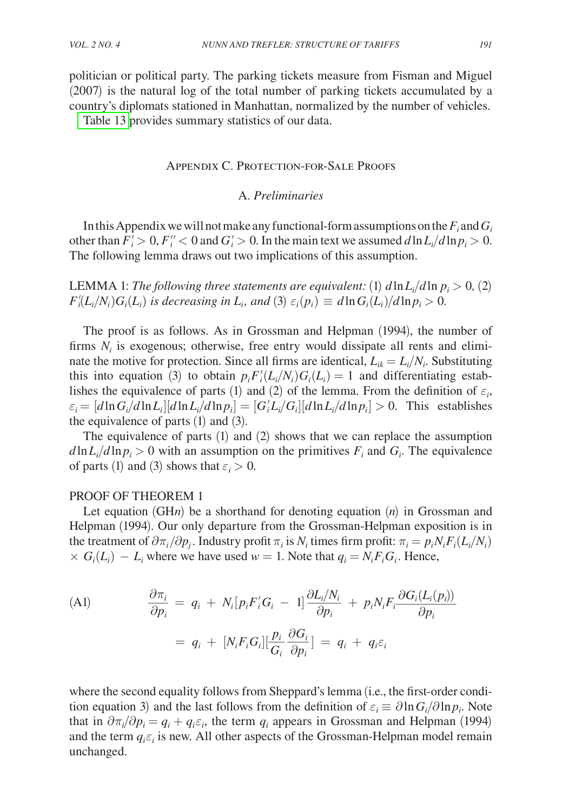<span id="page-33-0"></span>politician or political party. The parking tickets measure from Fisman and Miguel (2007) is the natural log of the total number of parking tickets accumulated by a country's diplomats stationed in Manhattan, normalized by the number of vehicles.

[Table 13](#page-31-0) provides summary statistics of our data.

## Appendix C. Protection-for-Sale Proofs

### A. *Preliminaries*

In this Appendix we will not make any functional-form assumptions on the  $F_i$  and  $G_i$ other than  $F_i' > 0$ ,  $F_i'' < 0$  and  $G_i' > 0$ . In the main text we assumed  $d \ln L_i / d \ln p_i > 0$ . The following lemma draws out two implications of this assumption.

LEMMA 1: *The following three statements are equivalent:* (1)  $d\ln L_i/d\ln p_i > 0$ , (2)  $F_i'(L_i/N_i)G_i(L_i)$  *is decreasing in*  $L_i$ *, and* (3)  $\varepsilon_i(p_i) \equiv d \ln G_i(L_i)/d \ln p_i > 0$ .

The proof is as follows. As in Grossman and Helpman (1994), the number of firms  $N_i$  is exogenous; otherwise, free entry would dissipate all rents and eliminate the motive for protection. Since all firms are identical,  $L_{ik} = L_i/N_i$ . Substituting this into equation (3) to obtain  $p_i F_i'(L_i/N_i) G_i(L_i) = 1$  and differentiating establishes the equivalence of parts (1) and (2) of the lemma. From the definition of  $\varepsilon_i$ ,  $\varepsilon_i = [d \ln G_i / d \ln L_i][d \ln L_i / d \ln p_i] = [G_i' L_i / G_i][d \ln L_i / d \ln p_i] > 0$ . This establishes the equivalence of parts  $(1)$  and  $(3)$ .

The equivalence of parts (1) and (2) shows that we can replace the assumption  $d \ln L_i/d \ln p_i > 0$  with an assumption on the primitives  $F_i$  and  $G_i$ . The equivalence of parts (1) and (3) shows that  $\varepsilon_i > 0$ .

### PROOF OF THEOREM 1

Let equation (GH*n*) be a shorthand for denoting equation (*n*) in Grossman and Helpman (1994). Our only departure from the Grossman-Helpman exposition is in the treatment of  $\partial \pi_i / \partial p_j$ . Industry profit  $\pi_i$  is  $N_i$  times firm profit:  $\pi_i = p_i N_i F_i (L_i / N_i)$  $\times G_i(L_i) - L_i$  where we have used  $w = 1$ . Note that  $q_i = N_i F_i G_i$ . Hence,

the treatment of 
$$
\partial n_i/\partial p_j
$$
. Industry point  $\pi_i$  is  $N_i$  times him point.  $\pi_i = p_i v_i r_i$   
\n $\times G_i(L_i) - L_i$  where we have used  $w = 1$ . Note that  $q_i = N_i F_i G_i$ . Hence,  
\n(A1) 
$$
\frac{\partial \pi_i}{\partial p_i} = q_i + N_i [p_i F_i' G_i - 1] \frac{\partial L_i/N_i}{\partial p_i} + p_i N_i F_i \frac{\partial G_i(L_i(p_i))}{\partial p_i}
$$
\n $= q_i + [N_i F_i G_i] [\frac{p_i}{G_i} \frac{\partial G_i}{\partial p_i}] = q_i + q_i \varepsilon_i$ 

where the second equality follows from Sheppard's lemma (i.e., the first-order condition equation 3) and the last follows from the definition of  $\varepsilon_i \equiv \partial \ln G_i / \partial \ln p_i$ . Note that in  $\partial \pi_i / \partial p_i = q_i + q_i \varepsilon_i$ , the term  $q_i$  appears in Grossman and Helpman (1994) and the term  $q_i \varepsilon_i$  is new. All other aspects of the Grossman-Helpman model remain unchanged.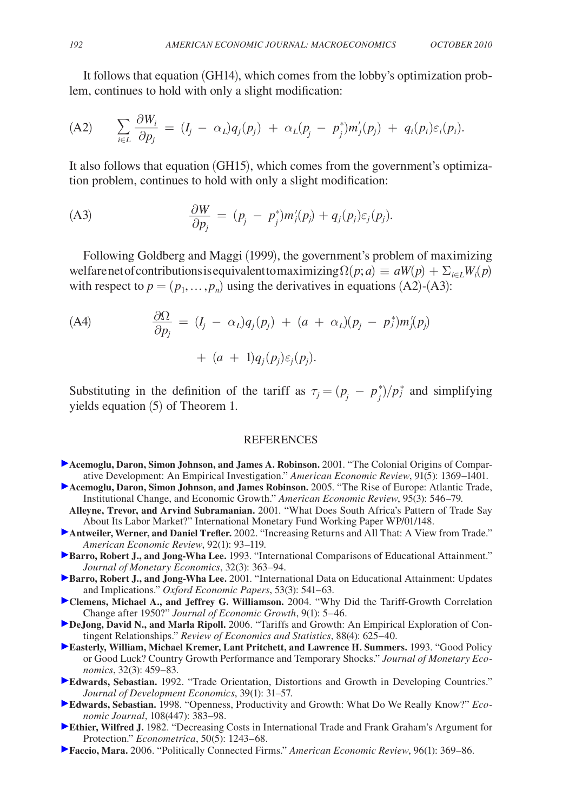<span id="page-34-0"></span>It follows that equation (GH14), which comes from the lobby's optimization problem, continues to hold with only a slight modification:

(A2) 
$$
\sum_{i\in L} \frac{\partial W_i}{\partial p_j} = (I_j - \alpha_L)q_j(p_j) + \alpha_L(p_j - p_j^*)m_j'(p_j) + q_i(p_i)\varepsilon_i(p_i).
$$

It also follows that equation (GH15), which comes from the government's optimization problem, continues to hold with only a slight modification:

(A3) 
$$
\frac{\partial W}{\partial p_j} = (p_j - p_j^*) m_j'(p_j) + q_j(p_j) \varepsilon_j(p_j).
$$

Following Goldberg and Maggi (1999), the government's problem of maximizing welfare net of contributions is equivalent to maximizing  $\Omega(p; a) \equiv aW(p) + \sum_{i \in L} W_i(p)$ with respect to  $p = (p_1, \ldots, p_n)$  using the derivatives in equations (A2)-(A3):

(A4)  
\n
$$
\frac{\partial \Omega}{\partial p_j} = (I_j - \alpha_L)q_j(p_j) + (a + \alpha_L)(p_j - p_j^*)m_j'(p_j)
$$
\n
$$
+ (a + 1)q_j(p_j)\varepsilon_j(p_j).
$$

Substituting in the definition of the tariff as  $\tau_j = (p_j - p_j^*)/p_j^*$  and simplifying yields equation (5) of Theorem 1.

#### REFERENCES

- **Acemoglu, Daron, Simon Johnson, and James A. Robinson.** 2001. "The Colonial Origins of Comparative Development: An Empirical Investigation." *American Economic Review*, 91(5): 1369–1401.
- **Acemoglu, Daron, Simon Johnson, and James Robinson.** 2005. "The Rise of Europe: Atlantic Trade, Institutional Change, and Economic Growth." *American Economic Review*, 95(3): 546–79.
- **Alleyne, Trevor, and Arvind Subramanian.** 2001. "What Does South Africa's Pattern of Trade Say About Its Labor Market?" International Monetary Fund Working Paper WP/01/148.
- **Antweiler, Werner, and Daniel Trefler.** 2002. "Increasing Returns and All That: A View from Trade." *American Economic Review*, 92(1): 93–119.
- **Barro, Robert J., and Jong-Wha Lee.** 1993. "International Comparisons of Educational Attainment." *Journal of Monetary Economics*, 32(3): 363–94.
- **Barro, Robert J., and Jong-Wha Lee.** 2001. "International Data on Educational Attainment: Updates and Implications." *Oxford Economic Papers*, 53(3): 541–63.
- **Clemens, Michael A., and Jeffrey G. Williamson.** 2004. "Why Did the Tariff-Growth Correlation Change after 1950?" *Journal of Economic Growth*, 9(1): 5–46.
- **DeJong, David N., and Marla Ripoll.** 2006. "Tariffs and Growth: An Empirical Exploration of Contingent Relationships." *Review of Economics and Statistics*, 88(4): 625–40.
- **Easterly, William, Michael Kremer, Lant Pritchett, and Lawrence H. Summers.** 1993. "Good Policy or Good Luck? Country Growth Performance and Temporary Shocks." *Journal of Monetary Economics*, 32(3): 459–83.
- **Edwards, Sebastian.** 1992. "Trade Orientation, Distortions and Growth in Developing Countries." *Journal of Development Economics*, 39(1): 31–57.
- **Edwards, Sebastian.** 1998. "Openness, Productivity and Growth: What Do We Really Know?" *Economic Journal*, 108(447): 383–98.
- **Ethier, Wilfred J.** 1982. "Decreasing Costs in International Trade and Frank Graham's Argument for Protection." *Econometrica*, 50(5): 1243–68.
- **Faccio, Mara.** 2006. "Politically Connected Firms." *American Economic Review*, 96(1): 369–86.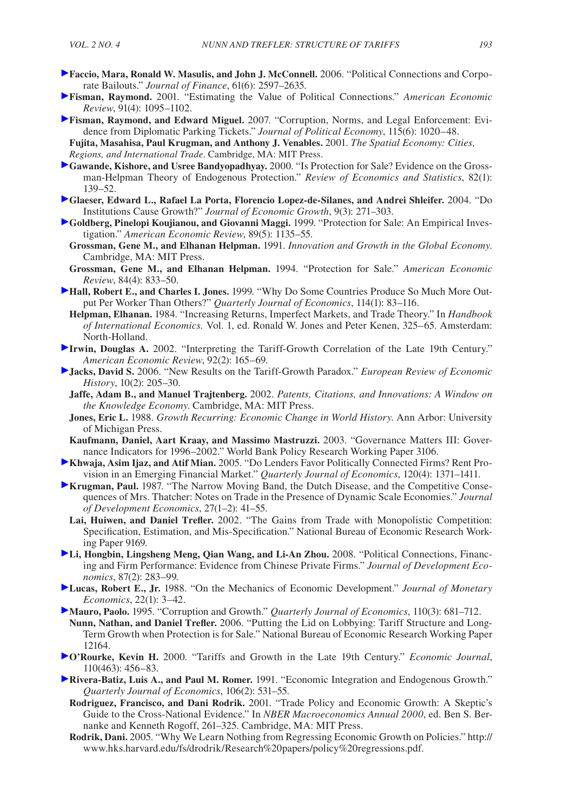- **Faccio, Mara, Ronald W. Masulis, and John J. McConnell.** 2006. "Political Connections and Corporate Bailouts." *Journal of Finance*, 61(6): 2597–2635.
- **Fisman, Raymond.** 2001. "Estimating the Value of Political Connections." *American Economic Review*, 91(4): 1095–1102.
- **Fisman, Raymond, and Edward Miguel.** 2007. "Corruption, Norms, and Legal Enforcement: Evidence from Diplomatic Parking Tickets." *Journal of Political Economy*, 115(6): 1020–48.
- **Fujita, Masahisa, Paul Krugman, and Anthony J. Venables.** 2001. *The Spatial Economy: Cities, Regions, and International Trade*. Cambridge, MA: MIT Press.
- **Gawande, Kishore, and Usree Bandyopadhyay.** 2000. "Is Protection for Sale? Evidence on the Grossman-Helpman Theory of Endogenous Protection." *Review of Economics and Statistics*, 82(1): 139–52.
- **Glaeser, Edward L., Rafael La Porta, Florencio Lopez-de-Silanes, and Andrei Shleifer.** 2004. "Do Institutions Cause Growth?" *Journal of Economic Growth*, 9(3): 271–303.
- **Goldberg, Pinelopi Koujianou, and Giovanni Maggi.** 1999. "Protection for Sale: An Empirical Investigation." *American Economic Review*, 89(5): 1135–55.
- **Grossman, Gene M., and Elhanan Helpman.** 1991. *Innovation and Growth in the Global Economy*. Cambridge, MA: MIT Press.
- **Grossman, Gene M., and Elhanan Helpman.** 1994. "Protection for Sale." *American Economic Review*, 84(4): 833–50.
- **Hall, Robert E., and Charles I. Jones.** 1999. "Why Do Some Countries Produce So Much More Output Per Worker Than Others?" *Quarterly Journal of Economics*, 114(1): 83–116.
	- **Helpman, Elhanan.** 1984. "Increasing Returns, Imperfect Markets, and Trade Theory." In *Handbook of International Economics.* Vol. 1, ed. Ronald W. Jones and Peter Kenen, 325–65. Amsterdam: North-Holland.
- **Irwin, Douglas A.** 2002. "Interpreting the Tariff-Growth Correlation of the Late 19th Century." *American Economic Review*, 92(2): 165–69.
- **Jacks, David S.** 2006. "New Results on the Tariff-Growth Paradox." *European Review of Economic History*, 10(2): 205–30.
	- **Jaffe, Adam B., and Manuel Trajtenberg.** 2002. *Patents, Citations, and Innovations: A Window on the Knowledge Economy*. Cambridge, MA: MIT Press.
	- **Jones, Eric L.** 1988. *Growth Recurring: Economic Change in World History*. Ann Arbor: University of Michigan Press.
	- **Kaufmann, Daniel, Aart Kraay, and Massimo Mastruzzi.** 2003. "Governance Matters III: Governance Indicators for 1996–2002." World Bank Policy Research Working Paper 3106.
- **Khwaja, Asim Ijaz, and Atif Mian.** 2005. "Do Lenders Favor Politically Connected Firms? Rent Provision in an Emerging Financial Market." *Quarterly Journal of Economics*, 120(4): 1371–1411.
- **Krugman, Paul.** 1987. "The Narrow Moving Band, the Dutch Disease, and the Competitive Consequences of Mrs. Thatcher: Notes on Trade in the Presence of Dynamic Scale Economies." *Journal of Development Economics*, 27(1–2): 41–55.
- **Lai, Huiwen, and Daniel Trefler.** 2002. "The Gains from Trade with Monopolistic Competition: Specification, Estimation, and Mis-Specification." National Bureau of Economic Research Working Paper 9169.
- **Li, Hongbin, Lingsheng Meng, Qian Wang, and Li-An Zhou.** 2008. "Political Connections, Financing and Firm Performance: Evidence from Chinese Private Firms." *Journal of Development Economics*, 87(2): 283–99.
- **Lucas, Robert E., Jr.** 1988. "On the Mechanics of Economic Development." *Journal of Monetary Economics*, 22(1): 3–42.
- **Mauro, Paolo.** 1995. "Corruption and Growth." *Quarterly Journal of Economics*, 110(3): 681–712. **Nunn, Nathan, and Daniel Trefler.** 2006. "Putting the Lid on Lobbying: Tariff Structure and Long-Term Growth when Protection is for Sale." National Bureau of Economic Research Working Paper 12164.
- **O'Rourke, Kevin H.** 2000. "Tariffs and Growth in the Late 19th Century." *Economic Journal*, 110(463): 456–83.
- **Rivera-Batiz, Luis A., and Paul M. Romer.** 1991. "Economic Integration and Endogenous Growth." *Quarterly Journal of Economics*, 106(2): 531–55.
	- **Rodriguez, Francisco, and Dani Rodrik.** 2001. "Trade Policy and Economic Growth: A Skeptic's Guide to the Cross-National Evidence." In *NBER Macroeconomics Annual 2000*, ed. Ben S. Bernanke and Kenneth Rogoff, 261–325. Cambridge, MA: MIT Press.
	- **Rodrik, Dani.** 2005. "Why We Learn Nothing from Regressing Economic Growth on Policies." http:// www.hks.harvard.edu/fs/drodrik/Research%20papers/policy%20regressions.pdf.